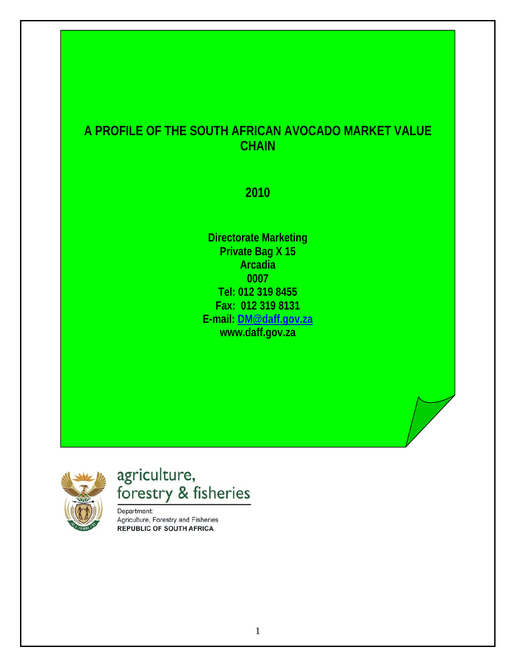# **A PROFILE OF THE SOUTH AFRICAN AVOCADO MARKET VALUE CHAIN**

**2010** 

**Directorate Marketing Private Bag X 15 Arcadia 0007 Tel: 012 319 8455 Fax: 012 319 8131 E-mail: [DM@daff.gov.za](mailto:DM@daff.gov.za) www.daff.gov.za**



# agriculture, forestry & fisheries

Department: Agriculture, Forestry and Fisheries **REPUBLIC OF SOUTH AFRICA**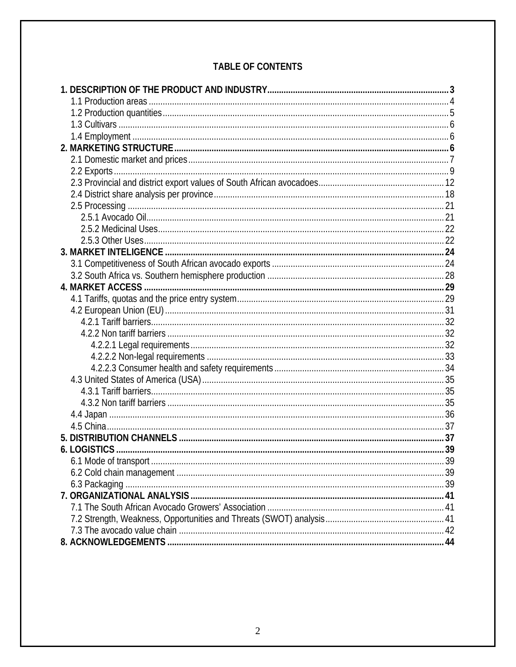# **TABLE OF CONTENTS**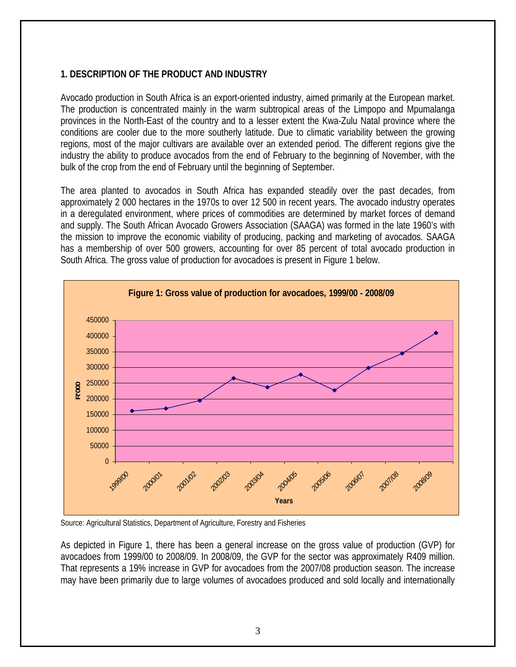### <span id="page-2-0"></span>**1. DESCRIPTION OF THE PRODUCT AND INDUSTRY**

Avocado production in South Africa is an export-oriented industry, aimed primarily at the European market. The production is concentrated mainly in the warm subtropical areas of the Limpopo and Mpumalanga provinces in the North-East of the country and to a lesser extent the Kwa-Zulu Natal province where the conditions are cooler due to the more southerly latitude. Due to climatic variability between the growing regions, most of the major cultivars are available over an extended period. The different regions give the industry the ability to produce avocados from the end of February to the beginning of November, with the bulk of the crop from the end of February until the beginning of September.

The area planted to avocados in South Africa has expanded steadily over the past decades, from approximately 2 000 hectares in the 1970s to over 12 500 in recent years. The avocado industry operates in a deregulated environment, where prices of commodities are determined by market forces of demand and supply. The South African Avocado Growers Association (SAAGA) was formed in the late 1960's with the mission to improve the economic viability of producing, packing and marketing of avocados. SAAGA has a membership of over 500 growers, accounting for over 85 percent of total avocado production in South Africa. The gross value of production for avocadoes is present in Figure 1 below.



Source: Agricultural Statistics, Department of Agriculture, Forestry and Fisheries

As depicted in Figure 1, there has been a general increase on the gross value of production (GVP) for avocadoes from 1999/00 to 2008/09. In 2008/09, the GVP for the sector was approximately R409 million. That represents a 19% increase in GVP for avocadoes from the 2007/08 production season. The increase may have been primarily due to large volumes of avocadoes produced and sold locally and internationally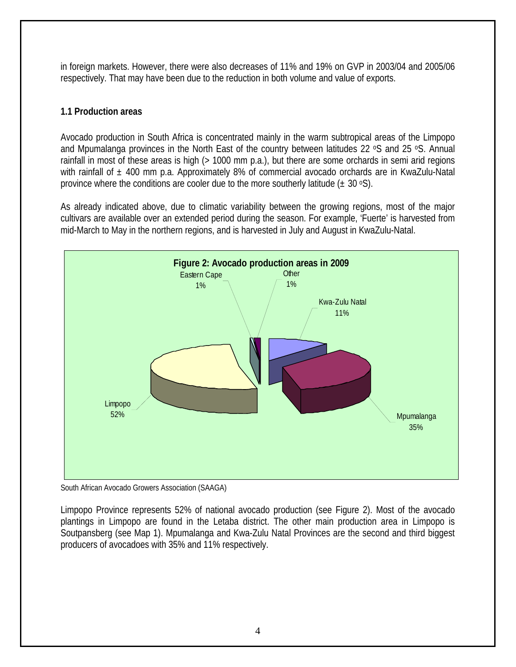<span id="page-3-0"></span>in foreign markets. However, there were also decreases of 11% and 19% on GVP in 2003/04 and 2005/06 respectively. That may have been due to the reduction in both volume and value of exports.

## **1.1 Production areas**

Avocado production in South Africa is concentrated mainly in the warm subtropical areas of the Limpopo and Mpumalanga provinces in the North East of the country between latitudes 22 °S and 25 °S. Annual rainfall in most of these areas is high (> 1000 mm p.a.), but there are some orchards in semi arid regions with rainfall of  $\pm$  400 mm p.a. Approximately 8% of commercial avocado orchards are in KwaZulu-Natal province where the conditions are cooler due to the more southerly latitude  $(\pm 30 \text{ }^{\circ}S)$ .

As already indicated above, due to climatic variability between the growing regions, most of the major cultivars are available over an extended period during the season. For example, 'Fuerte' is harvested from mid-March to May in the northern regions, and is harvested in July and August in KwaZulu-Natal.



South African Avocado Growers Association (SAAGA)

Limpopo Province represents 52% of national avocado production (see Figure 2). Most of the avocado plantings in Limpopo are found in the Letaba district. The other main production area in Limpopo is Soutpansberg (see Map 1). Mpumalanga and Kwa-Zulu Natal Provinces are the second and third biggest producers of avocadoes with 35% and 11% respectively.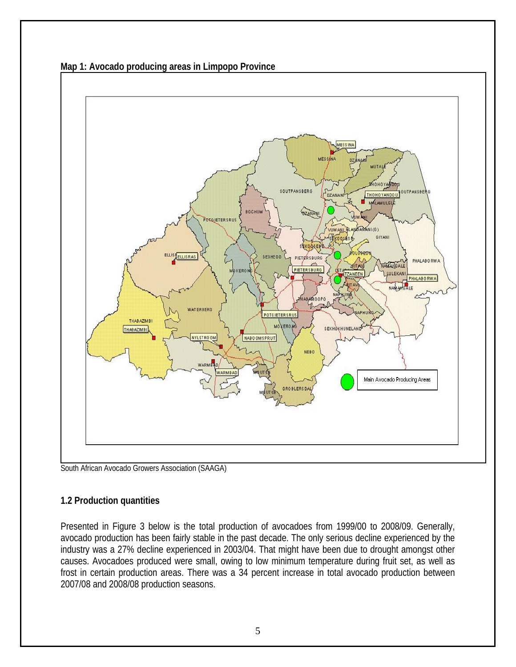

<span id="page-4-0"></span>**Map 1: Avocado producing areas in Limpopo Province**

South African Avocado Growers Association (SAAGA)

## **1.2 Production quantities**

Presented in Figure 3 below is the total production of avocadoes from 1999/00 to 2008/09. Generally, avocado production has been fairly stable in the past decade. The only serious decline experienced by the industry was a 27% decline experienced in 2003/04. That might have been due to drought amongst other causes. Avocadoes produced were small, owing to low minimum temperature during fruit set, as well as frost in certain production areas. There was a 34 percent increase in total avocado production between 2007/08 and 2008/08 production seasons.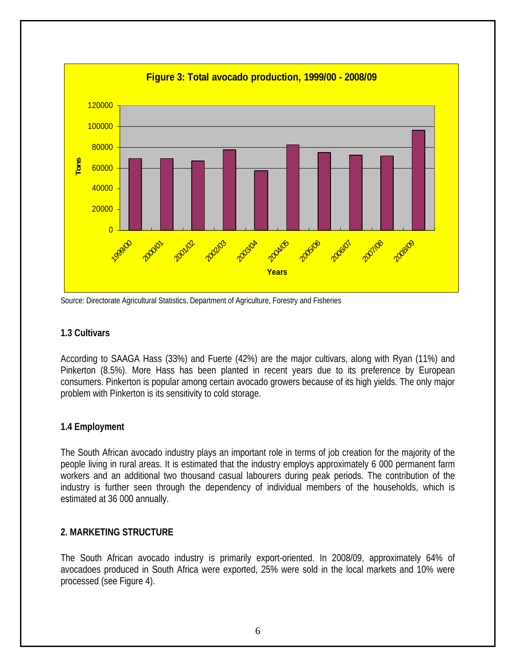<span id="page-5-0"></span>

Source: Directorate Agricultural Statistics, Department of Agriculture, Forestry and Fisheries

### **1.3 Cultivars**

According to SAAGA Hass (33%) and Fuerte (42%) are the major cultivars, along with Ryan (11%) and Pinkerton (8.5%). More Hass has been planted in recent years due to its preference by European consumers. Pinkerton is popular among certain avocado growers because of its high yields. The only major problem with Pinkerton is its sensitivity to cold storage.

## **1.4 Employment**

The South African avocado industry plays an important role in terms of job creation for the majority of the people living in rural areas. It is estimated that the industry employs approximately 6 000 permanent farm workers and an additional two thousand casual labourers during peak periods. The contribution of the industry is further seen through the dependency of individual members of the households, which is estimated at 36 000 annually.

#### **2. MARKETING STRUCTURE**

The South African avocado industry is primarily export-oriented. In 2008/09, approximately 64% of avocadoes produced in South Africa were exported, 25% were sold in the local markets and 10% were processed (see Figure 4).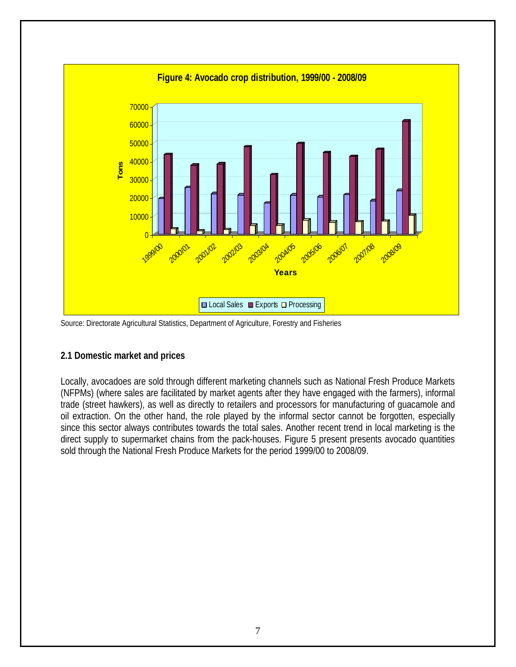<span id="page-6-0"></span>

Source: Directorate Agricultural Statistics, Department of Agriculture, Forestry and Fisheries

## **2.1 Domestic market and prices**

Locally, avocadoes are sold through different marketing channels such as National Fresh Produce Markets (NFPMs) (where sales are facilitated by market agents after they have engaged with the farmers), informal trade (street hawkers), as well as directly to retailers and processors for manufacturing of guacamole and oil extraction. On the other hand, the role played by the informal sector cannot be forgotten, especially since this sector always contributes towards the total sales. Another recent trend in local marketing is the direct supply to supermarket chains from the pack-houses. Figure 5 present presents avocado quantities sold through the National Fresh Produce Markets for the period 1999/00 to 2008/09.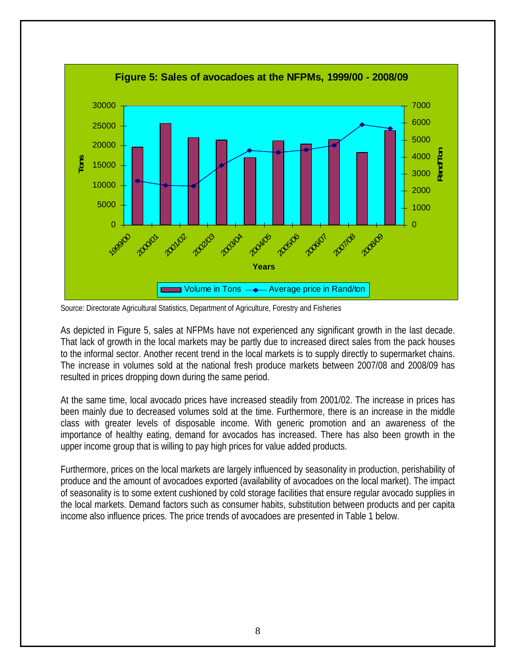

Source: Directorate Agricultural Statistics, Department of Agriculture, Forestry and Fisheries

As depicted in Figure 5, sales at NFPMs have not experienced any significant growth in the last decade. That lack of growth in the local markets may be partly due to increased direct sales from the pack houses to the informal sector. Another recent trend in the local markets is to supply directly to supermarket chains. The increase in volumes sold at the national fresh produce markets between 2007/08 and 2008/09 has resulted in prices dropping down during the same period.

At the same time, local avocado prices have increased steadily from 2001/02. The increase in prices has been mainly due to decreased volumes sold at the time. Furthermore, there is an increase in the middle class with greater levels of disposable income. With generic promotion and an awareness of the importance of healthy eating, demand for avocados has increased. There has also been growth in the upper income group that is willing to pay high prices for value added products.

Furthermore, prices on the local markets are largely influenced by seasonality in production, perishability of produce and the amount of avocadoes exported (availability of avocadoes on the local market). The impact of seasonality is to some extent cushioned by cold storage facilities that ensure regular avocado supplies in the local markets. Demand factors such as consumer habits, substitution between products and per capita income also influence prices. The price trends of avocadoes are presented in Table 1 below.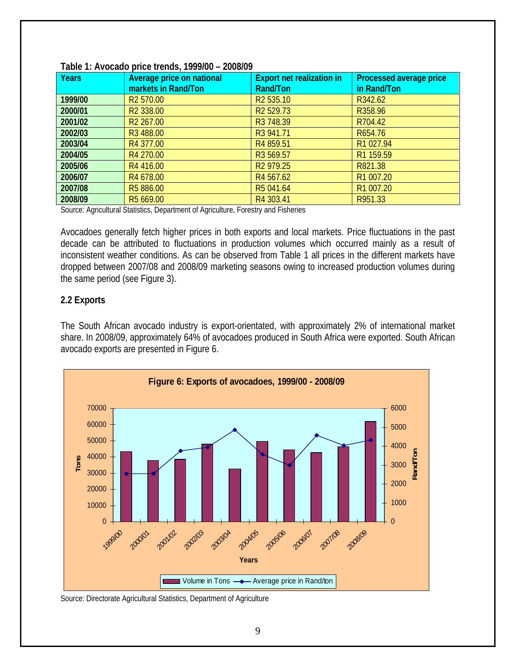| <b>Years</b> | Average price on national<br>markets in Rand/Ton | <b>Export net realization in</b><br>Rand/Ton | Processed average price<br>in Rand/Ton |
|--------------|--------------------------------------------------|----------------------------------------------|----------------------------------------|
| 1999/00      | R <sub>2</sub> 570.00                            | R <sub>2</sub> 535.10                        | R342.62                                |
| 2000/01      | R <sub>2</sub> 338.00                            | R <sub>2</sub> 529.73                        | R358.96                                |
| 2001/02      | R <sub>2</sub> 267.00                            | R3 748.39                                    | R704.42                                |
| 2002/03      | R3 488.00                                        | R3 941.71                                    | R654.76                                |
| 2003/04      | R4 377.00                                        | R4 859.51                                    | R1 027.94                              |
| 2004/05      | R4 270.00                                        | R3 569.57                                    | R1 159.59                              |
| 2005/06      | R4 416.00                                        | R <sub>2</sub> 979.25                        | R821.38                                |
| 2006/07      | R4 678.00                                        | R4 567.62                                    | R1 007.20                              |
| 2007/08      | R5 886.00                                        | R5 041.64                                    | R1 007.20                              |
| 2008/09      | R5 669.00                                        | R4 303.41                                    | R951.33                                |

#### <span id="page-8-0"></span>**Table 1: Avocado price trends, 1999/00 – 2008/09**

Source: Agricultural Statistics, Department of Agriculture, Forestry and Fisheries

Avocadoes generally fetch higher prices in both exports and local markets. Price fluctuations in the past decade can be attributed to fluctuations in production volumes which occurred mainly as a result of inconsistent weather conditions. As can be observed from Table 1 all prices in the different markets have dropped between 2007/08 and 2008/09 marketing seasons owing to increased production volumes during the same period (see Figure 3).

### **2.2 Exports**

The South African avocado industry is export-orientated, with approximately 2% of international market share. In 2008/09, approximately 64% of avocadoes produced in South Africa were exported. South African avocado exports are presented in Figure 6.



Source: Directorate Agricultural Statistics, Department of Agriculture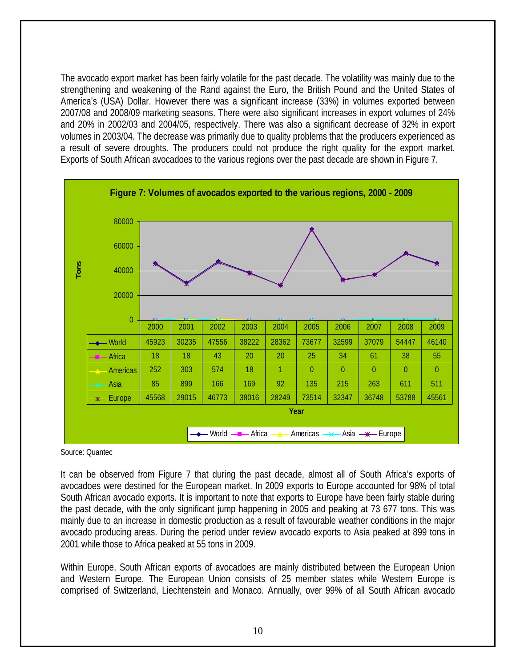The avocado export market has been fairly volatile for the past decade. The volatility was mainly due to the strengthening and weakening of the Rand against the Euro, the British Pound and the United States of America's (USA) Dollar. However there was a significant increase (33%) in volumes exported between 2007/08 and 2008/09 marketing seasons. There were also significant increases in export volumes of 24% and 20% in 2002/03 and 2004/05, respectively. There was also a significant decrease of 32% in export volumes in 2003/04. The decrease was primarily due to quality problems that the producers experienced as a result of severe droughts. The producers could not produce the right quality for the export market. Exports of South African avocadoes to the various regions over the past decade are shown in Figure 7.



Source: Quantec

It can be observed from Figure 7 that during the past decade, almost all of South Africa's exports of avocadoes were destined for the European market. In 2009 exports to Europe accounted for 98% of total South African avocado exports. It is important to note that exports to Europe have been fairly stable during the past decade, with the only significant jump happening in 2005 and peaking at 73 677 tons. This was mainly due to an increase in domestic production as a result of favourable weather conditions in the major avocado producing areas. During the period under review avocado exports to Asia peaked at 899 tons in 2001 while those to Africa peaked at 55 tons in 2009.

Within Europe, South African exports of avocadoes are mainly distributed between the European Union and Western Europe. The European Union consists of 25 member states while Western Europe is comprised of Switzerland, Liechtenstein and Monaco. Annually, over 99% of all South African avocado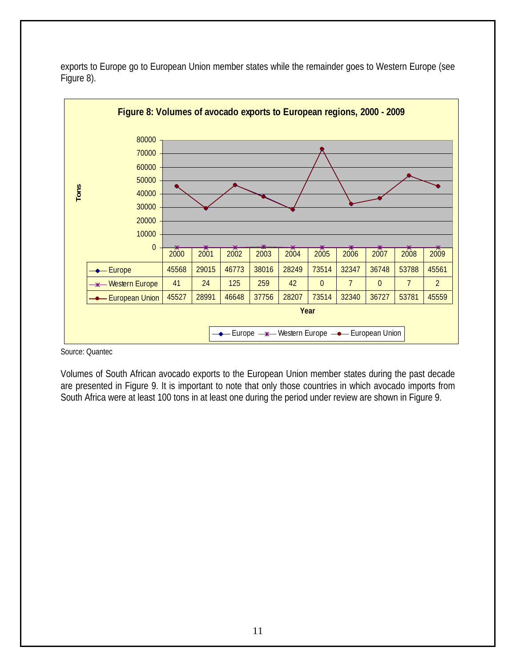

exports to Europe go to European Union member states while the remainder goes to Western Europe (see Figure 8).

Source: Quantec

Volumes of South African avocado exports to the European Union member states during the past decade are presented in Figure 9. It is important to note that only those countries in which avocado imports from South Africa were at least 100 tons in at least one during the period under review are shown in Figure 9.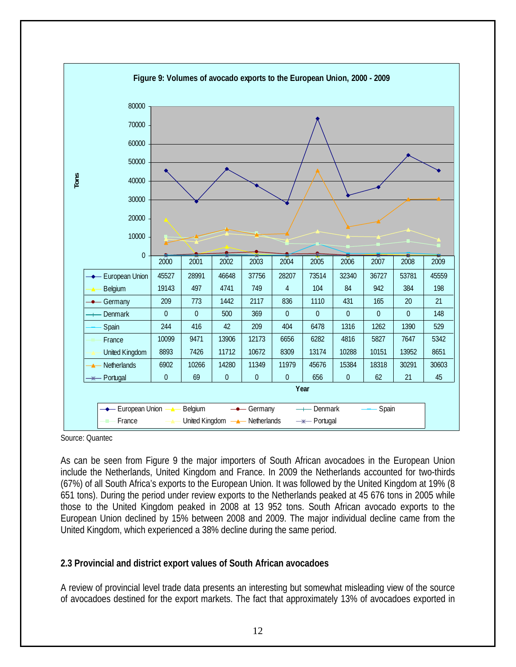<span id="page-11-0"></span>

Source: Quantec

As can be seen from Figure 9 the major importers of South African avocadoes in the European Union include the Netherlands, United Kingdom and France. In 2009 the Netherlands accounted for two-thirds (67%) of all South Africa's exports to the European Union. It was followed by the United Kingdom at 19% (8 651 tons). During the period under review exports to the Netherlands peaked at 45 676 tons in 2005 while those to the United Kingdom peaked in 2008 at 13 952 tons. South African avocado exports to the European Union declined by 15% between 2008 and 2009. The major individual decline came from the United Kingdom, which experienced a 38% decline during the same period.

#### **2.3 Provincial and district export values of South African avocadoes**

A review of provincial level trade data presents an interesting but somewhat misleading view of the source of avocadoes destined for the export markets. The fact that approximately 13% of avocadoes exported in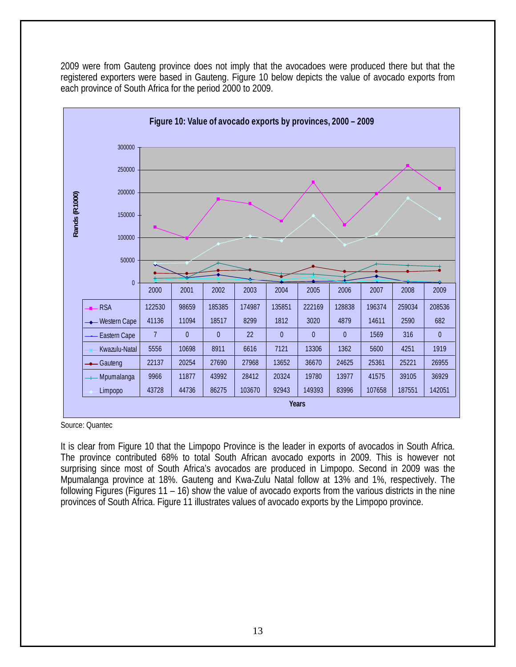

2009 were from Gauteng province does not imply that the avocadoes were produced there but that the registered exporters were based in Gauteng. Figure 10 below depicts the value of avocado exports from each province of South Africa for the period 2000 to 2009.

Source: Quantec

It is clear from Figure 10 that the Limpopo Province is the leader in exports of avocados in South Africa. The province contributed 68% to total South African avocado exports in 2009. This is however not surprising since most of South Africa's avocados are produced in Limpopo. Second in 2009 was the Mpumalanga province at 18%. Gauteng and Kwa-Zulu Natal follow at 13% and 1%, respectively. The following Figures (Figures 11 – 16) show the value of avocado exports from the various districts in the nine provinces of South Africa. Figure 11 illustrates values of avocado exports by the Limpopo province.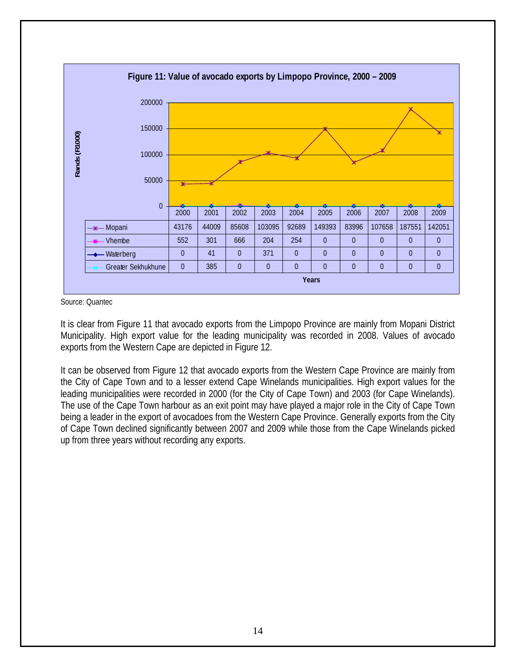

Source: Quantec

It is clear from Figure 11 that avocado exports from the Limpopo Province are mainly from Mopani District Municipality. High export value for the leading municipality was recorded in 2008. Values of avocado exports from the Western Cape are depicted in Figure 12.

It can be observed from Figure 12 that avocado exports from the Western Cape Province are mainly from the City of Cape Town and to a lesser extend Cape Winelands municipalities. High export values for the leading municipalities were recorded in 2000 (for the City of Cape Town) and 2003 (for Cape Winelands). The use of the Cape Town harbour as an exit point may have played a major role in the City of Cape Town being a leader in the export of avocadoes from the Western Cape Province. Generally exports from the City of Cape Town declined significantly between 2007 and 2009 while those from the Cape Winelands picked up from three years without recording any exports.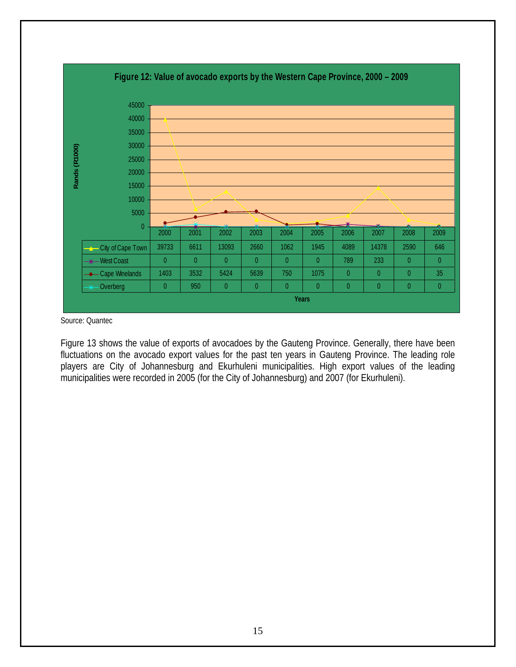

Source: Quantec

Figure 13 shows the value of exports of avocadoes by the Gauteng Province. Generally, there have been fluctuations on the avocado export values for the past ten years in Gauteng Province. The leading role players are City of Johannesburg and Ekurhuleni municipalities. High export values of the leading municipalities were recorded in 2005 (for the City of Johannesburg) and 2007 (for Ekurhuleni).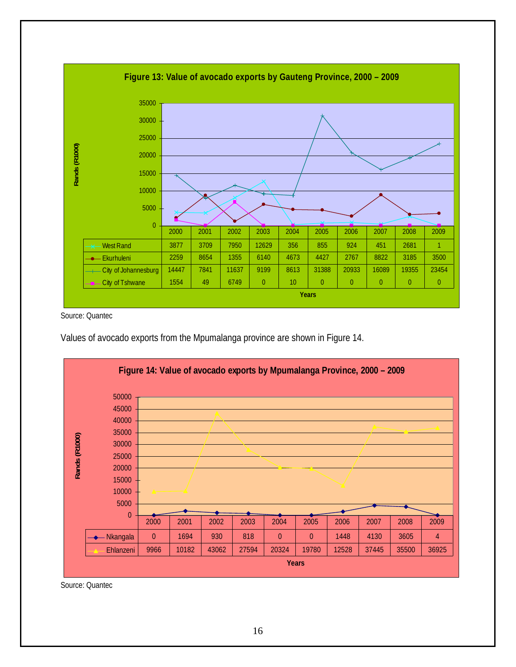

Source: Quantec

Values of avocado exports from the Mpumalanga province are shown in Figure 14.



Source: Quantec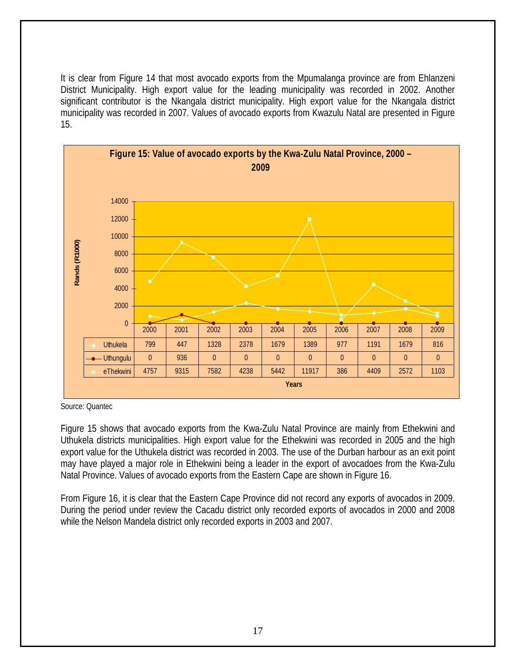It is clear from Figure 14 that most avocado exports from the Mpumalanga province are from Ehlanzeni District Municipality. High export value for the leading municipality was recorded in 2002. Another significant contributor is the Nkangala district municipality. High export value for the Nkangala district municipality was recorded in 2007. Values of avocado exports from Kwazulu Natal are presented in Figure 15.



Source: Quantec

Figure 15 shows that avocado exports from the Kwa-Zulu Natal Province are mainly from Ethekwini and Uthukela districts municipalities. High export value for the Ethekwini was recorded in 2005 and the high export value for the Uthukela district was recorded in 2003. The use of the Durban harbour as an exit point may have played a major role in Ethekwini being a leader in the export of avocadoes from the Kwa-Zulu Natal Province. Values of avocado exports from the Eastern Cape are shown in Figure 16.

From Figure 16, it is clear that the Eastern Cape Province did not record any exports of avocados in 2009. During the period under review the Cacadu district only recorded exports of avocados in 2000 and 2008 while the Nelson Mandela district only recorded exports in 2003 and 2007.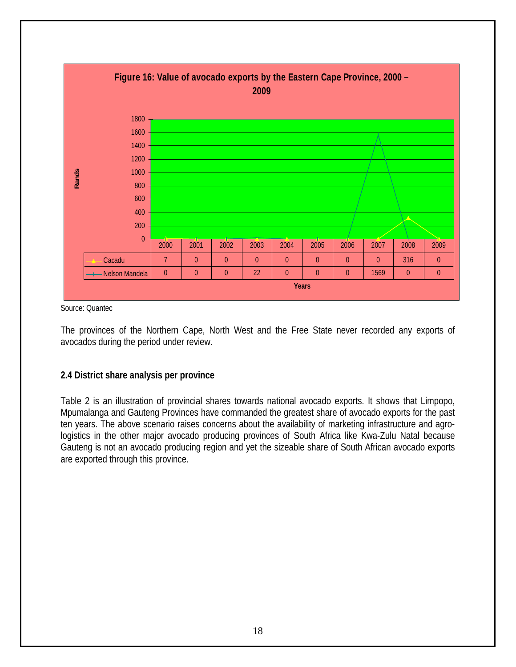<span id="page-17-0"></span>

Source: Quantec

The provinces of the Northern Cape, North West and the Free State never recorded any exports of avocados during the period under review.

#### **2.4 District share analysis per province**

Table 2 is an illustration of provincial shares towards national avocado exports. It shows that Limpopo, Mpumalanga and Gauteng Provinces have commanded the greatest share of avocado exports for the past ten years. The above scenario raises concerns about the availability of marketing infrastructure and agrologistics in the other major avocado producing provinces of South Africa like Kwa-Zulu Natal because Gauteng is not an avocado producing region and yet the sizeable share of South African avocado exports are exported through this province.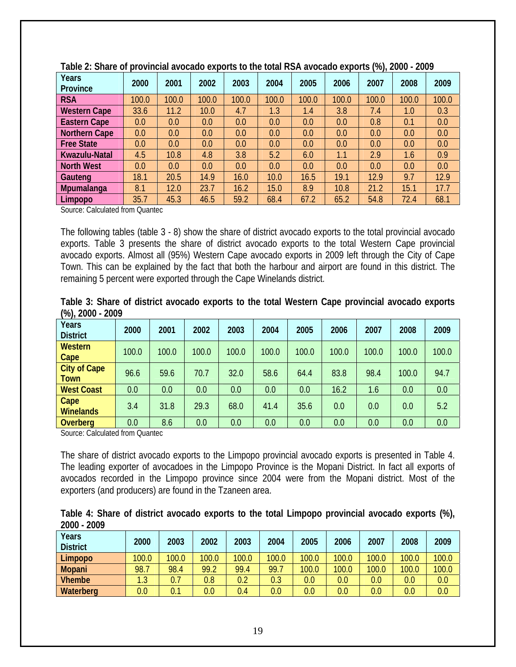| Years                | 2000  | 2001  | 2002  | 2003  | 2004  | 2005  | 2006  | (**// = <del>*</del> * *<br>2007 | 2008  | 2009  |
|----------------------|-------|-------|-------|-------|-------|-------|-------|----------------------------------|-------|-------|
| Province             |       |       |       |       |       |       |       |                                  |       |       |
| <b>RSA</b>           | 100.0 | 100.0 | 100.0 | 100.0 | 100.0 | 100.0 | 100.0 | 100.0                            | 100.0 | 100.0 |
| <b>Western Cape</b>  | 33.6  | 11.2  | 10.0  | 4.7   | 1.3   | 1.4   | 3.8   | 7.4                              | 1.0   | 0.3   |
| <b>Eastern Cape</b>  | 0.0   | 0.0   | 0.0   | 0.0   | 0.0   | 0.0   | 0.0   | 0.8                              | 0.1   | 0.0   |
| <b>Northern Cape</b> | 0.0   | 0.0   | 0.0   | 0.0   | 0.0   | 0.0   | 0.0   | 0.0                              | 0.0   | 0.0   |
| <b>Free State</b>    | 0.0   | 0.0   | 0.0   | 0.0   | 0.0   | 0.0   | 0.0   | 0.0                              | 0.0   | 0.0   |
| Kwazulu-Natal        | 4.5   | 10.8  | 4.8   | 3.8   | 5.2   | 6.0   | 1.1   | 2.9                              | 1.6   | 0.9   |
| <b>North West</b>    | 0.0   | 0.0   | 0.0   | 0.0   | 0.0   | 0.0   | 0.0   | 0.0                              | 0.0   | 0.0   |
| Gauteng              | 18.1  | 20.5  | 14.9  | 16.0  | 10.0  | 16.5  | 19.1  | 12.9                             | 9.7   | 12.9  |
| <b>Mpumalanga</b>    | 8.1   | 12.0  | 23.7  | 16.2  | 15.0  | 8.9   | 10.8  | 21.2                             | 15.1  | 17.7  |
| Limpopo              | 35.7  | 45.3  | 46.5  | 59.2  | 68.4  | 67.2  | 65.2  | 54.8                             | 72.4  | 68.1  |

| Table 2: Share of provincial avocado exports to the total RSA avocado exports (%), 2000 - 2009 |
|------------------------------------------------------------------------------------------------|
|------------------------------------------------------------------------------------------------|

Source: Calculated from Quantec

The following tables (table 3 - 8) show the share of district avocado exports to the total provincial avocado exports. Table 3 presents the share of district avocado exports to the total Western Cape provincial avocado exports. Almost all (95%) Western Cape avocado exports in 2009 left through the City of Cape Town. This can be explained by the fact that both the harbour and airport are found in this district. The remaining 5 percent were exported through the Cape Winelands district.

| Table 3: Share of district avocado exports to the total Western Cape provincial avocado exports |  |  |  |  |  |
|-------------------------------------------------------------------------------------------------|--|--|--|--|--|
| $(\%)$ , 2000 - 2009                                                                            |  |  |  |  |  |

| Years<br><b>District</b>    | 2000  | 2001  | 2002  | 2003  | 2004  | 2005  | 2006  | 2007  | 2008  | 2009  |
|-----------------------------|-------|-------|-------|-------|-------|-------|-------|-------|-------|-------|
| Western<br>Cape             | 100.0 | 100.0 | 100.0 | 100.0 | 100.0 | 100.0 | 100.0 | 100.0 | 100.0 | 100.0 |
| <b>City of Cape</b><br>Town | 96.6  | 59.6  | 70.7  | 32.0  | 58.6  | 64.4  | 83.8  | 98.4  | 100.0 | 94.7  |
| <b>West Coast</b>           | 0.0   | 0.0   | 0.0   | 0.0   | 0.0   | 0.0   | 16.2  | 1.6   | 0.0   | 0.0   |
| Cape<br>Winelands           | 3.4   | 31.8  | 29.3  | 68.0  | 41.4  | 35.6  | 0.0   | 0.0   | 0.0   | 5.2   |
| <b>Overberg</b>             | 0.0   | 8.6   | 0.0   | 0.0   | 0.0   | 0.0   | 0.0   | 0.0   | 0.0   | 0.0   |

Source: Calculated from Quantec

The share of district avocado exports to the Limpopo provincial avocado exports is presented in Table 4. The leading exporter of avocadoes in the Limpopo Province is the Mopani District. In fact all exports of avocados recorded in the Limpopo province since 2004 were from the Mopani district. Most of the exporters (and producers) are found in the Tzaneen area.

| Table 4: Share of district avocado exports to the total Limpopo provincial avocado exports (%), |  |  |  |  |  |
|-------------------------------------------------------------------------------------------------|--|--|--|--|--|
| 2000 - 2009                                                                                     |  |  |  |  |  |

| Years<br><b>District</b> | 2000  | 2003  | 2002  | 2003  | 2004  | 2005  | 2006  | 2007  | 2008  | 2009  |
|--------------------------|-------|-------|-------|-------|-------|-------|-------|-------|-------|-------|
| Limpopo                  | 100.0 | 100.0 | 100.0 | 100.0 | 100.0 | 100.0 | 100.0 | 100.0 | 100.0 | 100.0 |
| Mopani                   | 98.7  | 98.4  | 99.2  | 99.4  | 99.,  | 100.0 | 100.0 | 100.0 | 100.0 | 100.0 |
| <b>Vhembe</b>            | 1.3   | 0.7   | 0.8   | 0.2   | 0.3   | 0.0   | 0.0   | 0.0   | 0.0   | 0.0   |
| Waterberg                | 0.0   | 0.1   | 0.0   | 0.4   | 0.0   | 0.0   | 0.0   | 0.0   | 0.0   | 0.0   |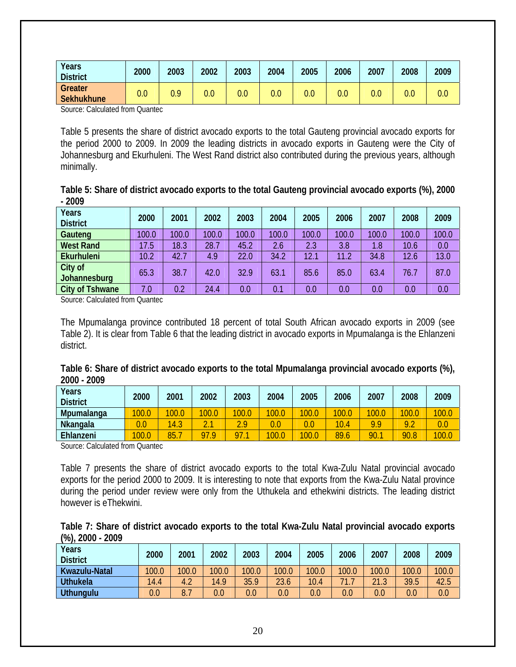|                                                                                                                 | <b>District</b> | 2000<br>2003 | 2002 | 2003 | 2004 | 2005 | 2006 | 2007 | 2008 | 2009 |
|-----------------------------------------------------------------------------------------------------------------|-----------------|--------------|------|------|------|------|------|------|------|------|
| Greater<br>0.0<br>0.0<br>0.0<br>0.9<br>$0.0\,$<br>$0.0\,$<br>$0.0\,$<br>$0.0\,$<br>$0.0\,$<br><b>Sekhukhune</b> |                 |              |      |      |      |      |      |      |      | 0.0  |

Source: Calculated from Quantec

Table 5 presents the share of district avocado exports to the total Gauteng provincial avocado exports for the period 2000 to 2009. In 2009 the leading districts in avocado exports in Gauteng were the City of Johannesburg and Ekurhuleni. The West Rand district also contributed during the previous years, although minimally.

| Table 5: Share of district avocado exports to the total Gauteng provincial avocado exports (%), 2000 |  |
|------------------------------------------------------------------------------------------------------|--|
| $-2009$                                                                                              |  |

| Years<br><b>District</b> | 2000  | 2001  | 2002  | 2003  | 2004  | 2005  | 2006  | 2007  | 2008  | 2009  |
|--------------------------|-------|-------|-------|-------|-------|-------|-------|-------|-------|-------|
| Gauteng                  | 100.0 | 100.0 | 100.0 | 100.0 | 100.0 | 100.0 | 100.0 | 100.0 | 100.0 | 100.0 |
| <b>West Rand</b>         | 17.5  | 18.3  | 28.7  | 45.2  | 2.6   | 2.3   | 3.8   | 1.8   | 10.6  | 0.0   |
| Ekurhuleni               | 10.2  | 42.7  | 4.9   | 22.0  | 34.2  | 12.1  | 11.2  | 34.8  | 12.6  | 13.0  |
| City of<br>Johannesburg  | 65.3  | 38.7  | 42.0  | 32.9  | 63.1  | 85.6  | 85.0  | 63.4  | 76.7  | 87.0  |
| <b>City of Tshwane</b>   | 7.0   | 0.2   | 24.4  | 0.0   | 0.1   | 0.0   | 0.0   | 0.0   | 0.0   | 0.0   |

Source: Calculated from Quantec

The Mpumalanga province contributed 18 percent of total South African avocado exports in 2009 (see Table 2). It is clear from Table 6 that the leading district in avocado exports in Mpumalanga is the Ehlanzeni district.

|             | Table 6: Share of district avocado exports to the total Mpumalanga provincial avocado exports (%), |  |  |  |
|-------------|----------------------------------------------------------------------------------------------------|--|--|--|
| 2000 - 2009 |                                                                                                    |  |  |  |

| Years<br><b>District</b> | 2000  | 2001  | 2002           | 2003  | 2004    | 2005  | 2006  | 2007  | 2008  | 2009  |
|--------------------------|-------|-------|----------------|-------|---------|-------|-------|-------|-------|-------|
| Mpumalanga               | 100.0 | 100.0 | 100.0          | 100.0 | 100.0   | 100.0 | 100.0 | 100.0 | 100.0 | 100.0 |
| Nkangala                 | 0.0   | 14.3  | $\overline{ }$ | າ ດ   | $0.0\,$ |       | 10.4  | 9.9   | 9.2   | 0.0   |
| Ehlanzeni                | 100.0 | 85.   | 07 Q           | 97    | 100.0   | 100.0 | 89.6  | 90.   | 90.8  | 100.0 |
|                          |       |       |                |       |         |       |       |       |       |       |

Source: Calculated from Quantec

Table 7 presents the share of district avocado exports to the total Kwa-Zulu Natal provincial avocado exports for the period 2000 to 2009. It is interesting to note that exports from the Kwa-Zulu Natal province during the period under review were only from the Uthukela and ethekwini districts. The leading district however is eThekwini.

| Table 7: Share of district avocado exports to the total Kwa-Zulu Natal provincial avocado exports |  |  |  |  |
|---------------------------------------------------------------------------------------------------|--|--|--|--|
| $(\%)$ , 2000 - 2009                                                                              |  |  |  |  |

| Years<br><b>District</b> | 2000    | 2001  | 2002    | 2003    | 2004  | 2005    | 2006    | 2007  | 2008  | 2009  |
|--------------------------|---------|-------|---------|---------|-------|---------|---------|-------|-------|-------|
| Kwazulu-Natal            | 100.0   | 100.0 | 100.0   | 100.0   | 100.0 | 100.0   | 100.0   | 100.0 | 100.0 | 100.0 |
| <b>Uthukela</b>          | 14.4    | 4.2   | 14.9    | 35.9    | 23.6  | 10.4    | 71.     | 21.3  | 39.5  | 42.5  |
| <b>Uthungulu</b>         | $0.0\,$ | 8.7   | $0.0\,$ | $0.0\,$ | 0.0   | $0.0\,$ | $0.0\,$ | 0.0   | 0.0   | 0.0   |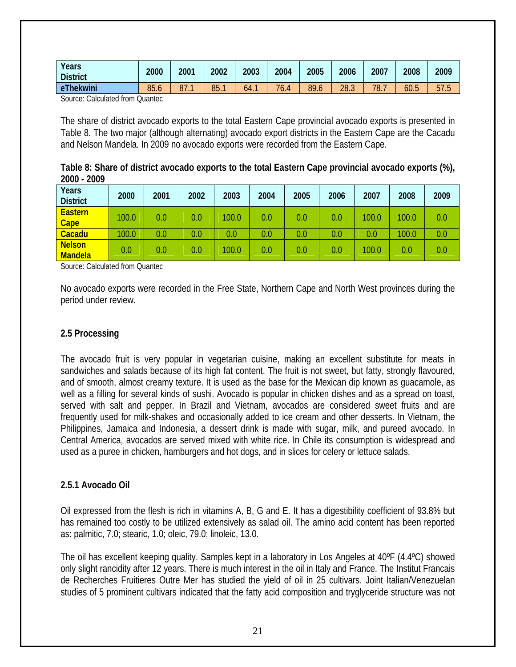<span id="page-20-0"></span>

|                                                                                  | <b>District</b> |  |  |  |  |                                 |
|----------------------------------------------------------------------------------|-----------------|--|--|--|--|---------------------------------|
| 85.1<br>eThekwini<br>85.6<br>76.4<br>89.6<br>28.3<br>87.7<br>78.<br>60.5<br>64.1 |                 |  |  |  |  | $- -$<br>h.<br>h<br><u>JI.J</u> |

Source: Calculated from Quantec

The share of district avocado exports to the total Eastern Cape provincial avocado exports is presented in Table 8. The two major (although alternating) avocado export districts in the Eastern Cape are the Cacadu and Nelson Mandela. In 2009 no avocado exports were recorded from the Eastern Cape.

| Table 8: Share of district avocado exports to the total Eastern Cape provincial avocado exports (%), |  |
|------------------------------------------------------------------------------------------------------|--|
| 2000 - 2009                                                                                          |  |

| Years<br><b>District</b>        | 2000  | 2001 | 2002 | 2003  | 2004 | 2005 | 2006    | 2007  | 2008    | 2009 |
|---------------------------------|-------|------|------|-------|------|------|---------|-------|---------|------|
| <b>Eastern</b><br>Cape          | 100.0 | 0.0  | 0.0  | 100.0 | 0.0  | 0.0  | 0.0     | 100.0 | 100.0   | 0.0  |
| Cacadu                          | 100.0 | 0.0  | 0.0  | 0.0   | 0.0  | 0.0  | $0.0\,$ | 0.0   | 100.0   | 0.0  |
| <b>Nelson</b><br><b>Mandela</b> | 0.0   | 0.0  | 0.0  | 100.0 | 0.0  | 0.0  | 0.0     | 100.0 | $0.0\,$ | 0.0  |

Source: Calculated from Quantec

No avocado exports were recorded in the Free State, Northern Cape and North West provinces during the period under review.

#### **2.5 Processing**

The avocado fruit is very popular in vegetarian cuisine, making an excellent substitute for meats in sandwiches and salads because of its high fat content. The fruit is not sweet, but fatty, strongly flavoured, and of smooth, almost creamy texture. It is used as the base for the Mexican dip known as guacamole, as well as a filling for several kinds of sushi. Avocado is popular in chicken dishes and as a spread on toast, served with salt and pepper. In Brazil and Vietnam, avocados are considered sweet fruits and are frequently used for milk-shakes and occasionally added to ice cream and other desserts. In Vietnam, the Philippines, Jamaica and Indonesia, a dessert drink is made with sugar, milk, and pureed avocado. In Central America, avocados are served mixed with white rice. In Chile its consumption is widespread and used as a puree in chicken, hamburgers and hot dogs, and in slices for celery or lettuce salads.

#### **2.5.1 Avocado Oil**

Oil expressed from the flesh is rich in vitamins A, B, G and E. It has a digestibility coefficient of 93.8% but has remained too costly to be utilized extensively as salad oil. The amino acid content has been reported as: palmitic, 7.0; stearic, 1.0; oleic, 79.0; linoleic, 13.0.

The oil has excellent keeping quality. Samples kept in a laboratory in Los Angeles at 40ºF (4.4ºC) showed only slight rancidity after 12 years. There is much interest in the oil in Italy and France. The Institut Francais de Recherches Fruitieres Outre Mer has studied the yield of oil in 25 cultivars. Joint Italian/Venezuelan studies of 5 prominent cultivars indicated that the fatty acid composition and tryglyceride structure was not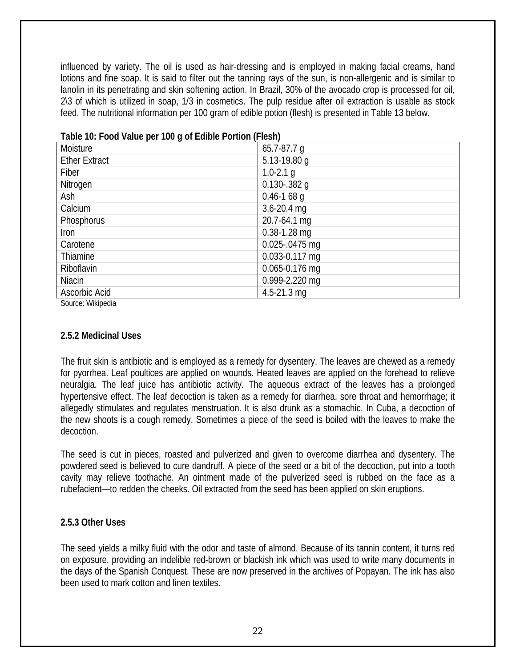<span id="page-21-0"></span>influenced by variety. The oil is used as hair-dressing and is employed in making facial creams, hand lotions and fine soap. It is said to filter out the tanning rays of the sun, is non-allergenic and is similar to lanolin in its penetrating and skin softening action. In Brazil, 30% of the avocado crop is processed for oil, 2\3 of which is utilized in soap, 1/3 in cosmetics. The pulp residue after oil extraction is usable as stock feed. The nutritional information per 100 gram of edible potion (flesh) is presented in Table 13 below.

| Table TV. TOOG Value per TVV y OF EUIDIC FORROIT (FICSH) |                   |  |  |  |
|----------------------------------------------------------|-------------------|--|--|--|
| Moisture                                                 | $65.7 - 87.7$ q   |  |  |  |
| <b>Ether Extract</b>                                     | 5.13-19.80 g      |  |  |  |
| Fiber                                                    | $1.0 - 2.1$ q     |  |  |  |
| Nitrogen                                                 | $0.130 - 382$ g   |  |  |  |
| Ash                                                      | $0.46 - 1.68$ q   |  |  |  |
| Calcium                                                  | $3.6 - 20.4$ mg   |  |  |  |
| Phosphorus                                               | 20.7-64.1 mg      |  |  |  |
| Iron                                                     | $0.38 - 1.28$ mg  |  |  |  |
| Carotene                                                 | $0.025 - 0475$ mg |  |  |  |
| Thiamine                                                 | 0.033-0.117 mg    |  |  |  |
| Riboflavin                                               | 0.065-0.176 mg    |  |  |  |
| Niacin                                                   | 0.999-2.220 mg    |  |  |  |
| Ascorbic Acid                                            | $4.5 - 21.3$ mg   |  |  |  |

### **Table 10: Food Value per 100 g of Edible Portion (Flesh)**

Source: Wikipedia

### **2.5.2 Medicinal Uses**

The fruit skin is antibiotic and is employed as a remedy for dysentery. The leaves are chewed as a remedy for pyorrhea. Leaf poultices are applied on wounds. Heated leaves are applied on the forehead to relieve neuralgia. The leaf juice has antibiotic activity. The aqueous extract of the leaves has a prolonged hypertensive effect. The leaf decoction is taken as a remedy for diarrhea, sore throat and hemorrhage; it allegedly stimulates and regulates menstruation. It is also drunk as a stomachic. In Cuba, a decoction of the new shoots is a cough remedy. Sometimes a piece of the seed is boiled with the leaves to make the decoction.

The seed is cut in pieces, roasted and pulverized and given to overcome diarrhea and dysentery. The powdered seed is believed to cure dandruff. A piece of the seed or a bit of the decoction, put into a tooth cavity may relieve toothache. An ointment made of the pulverized seed is rubbed on the face as a rubefacient—to redden the cheeks. Oil extracted from the seed has been applied on skin eruptions.

## **2.5.3 Other Uses**

The seed yields a milky fluid with the odor and taste of almond. Because of its tannin content, it turns red on exposure, providing an indelible red-brown or blackish ink which was used to write many documents in the days of the Spanish Conquest. These are now preserved in the archives of Popayan. The ink has also been used to mark cotton and linen textiles.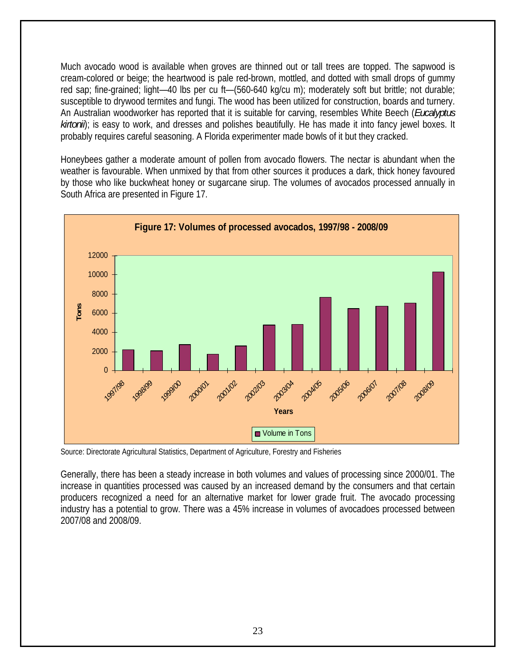Much avocado wood is available when groves are thinned out or tall trees are topped. The sapwood is cream-colored or beige; the heartwood is pale red-brown, mottled, and dotted with small drops of gummy red sap; fine-grained; light—40 lbs per cu ft—(560-640 kg/cu m); moderately soft but brittle; not durable; susceptible to drywood termites and fungi. The wood has been utilized for construction, boards and turnery. An Australian woodworker has reported that it is suitable for carving, resembles White Beech (*Eucalyptus kirtonii*); is easy to work, and dresses and polishes beautifully. He has made it into fancy jewel boxes. It probably requires careful seasoning. A Florida experimenter made bowls of it but they cracked.

Honeybees gather a moderate amount of pollen from avocado flowers. The nectar is abundant when the weather is favourable. When unmixed by that from other sources it produces a dark, thick honey favoured by those who like buckwheat honey or sugarcane sirup. The volumes of avocados processed annually in South Africa are presented in Figure 17.



Source: Directorate Agricultural Statistics, Department of Agriculture, Forestry and Fisheries

Generally, there has been a steady increase in both volumes and values of processing since 2000/01. The increase in quantities processed was caused by an increased demand by the consumers and that certain producers recognized a need for an alternative market for lower grade fruit. The avocado processing industry has a potential to grow. There was a 45% increase in volumes of avocadoes processed between 2007/08 and 2008/09.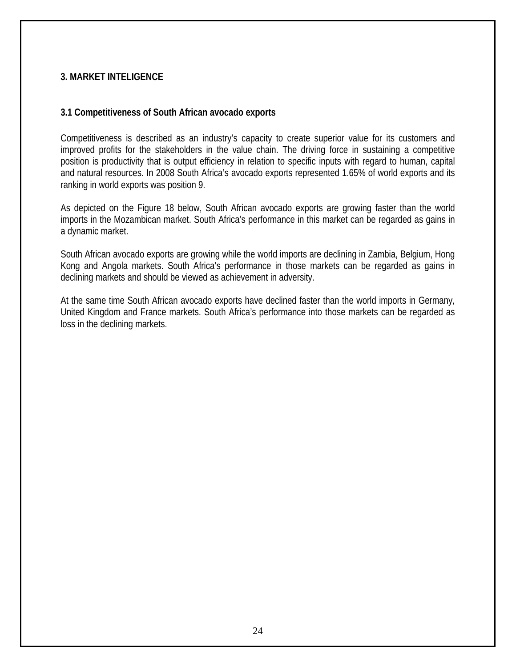### <span id="page-23-0"></span>**3. MARKET INTELIGENCE**

#### **3.1 Competitiveness of South African avocado exports**

Competitiveness is described as an industry's capacity to create superior value for its customers and improved profits for the stakeholders in the value chain. The driving force in sustaining a competitive position is productivity that is output efficiency in relation to specific inputs with regard to human, capital and natural resources. In 2008 South Africa's avocado exports represented 1.65% of world exports and its ranking in world exports was position 9.

As depicted on the Figure 18 below, South African avocado exports are growing faster than the world imports in the Mozambican market. South Africa's performance in this market can be regarded as gains in a dynamic market.

South African avocado exports are growing while the world imports are declining in Zambia, Belgium, Hong Kong and Angola markets. South Africa's performance in those markets can be regarded as gains in declining markets and should be viewed as achievement in adversity.

At the same time South African avocado exports have declined faster than the world imports in Germany, United Kingdom and France markets. South Africa's performance into those markets can be regarded as loss in the declining markets.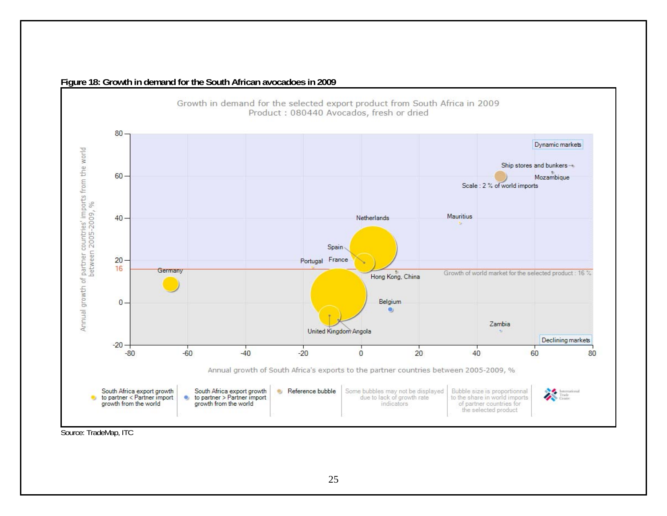

#### **Figure 18: Growth in demand for the South African avocadoes in 2009**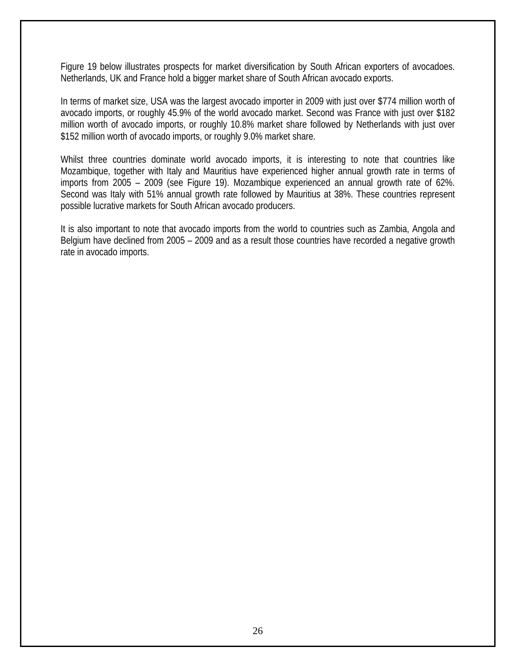Figure 19 below illustrates prospects for market diversification by South African exporters of avocadoes. Netherlands, UK and France hold a bigger market share of South African avocado exports.

In terms of market size, USA was the largest avocado importer in 2009 with just over \$774 million worth of avocado imports, or roughly 45.9% of the world avocado market. Second was France with just over \$182 million worth of avocado imports, or roughly 10.8% market share followed by Netherlands with just over \$152 million worth of avocado imports, or roughly 9.0% market share.

Whilst three countries dominate world avocado imports, it is interesting to note that countries like Mozambique, together with Italy and Mauritius have experienced higher annual growth rate in terms of imports from 2005 – 2009 (see Figure 19). Mozambique experienced an annual growth rate of 62%. Second was Italy with 51% annual growth rate followed by Mauritius at 38%. These countries represent possible lucrative markets for South African avocado producers.

It is also important to note that avocado imports from the world to countries such as Zambia, Angola and Belgium have declined from 2005 – 2009 and as a result those countries have recorded a negative growth rate in avocado imports.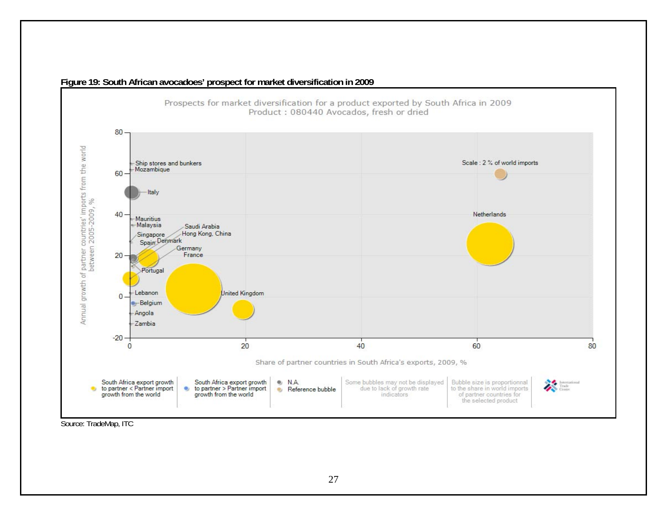

**Figure 19: South African avocadoes' prospect for market diversification in 2009**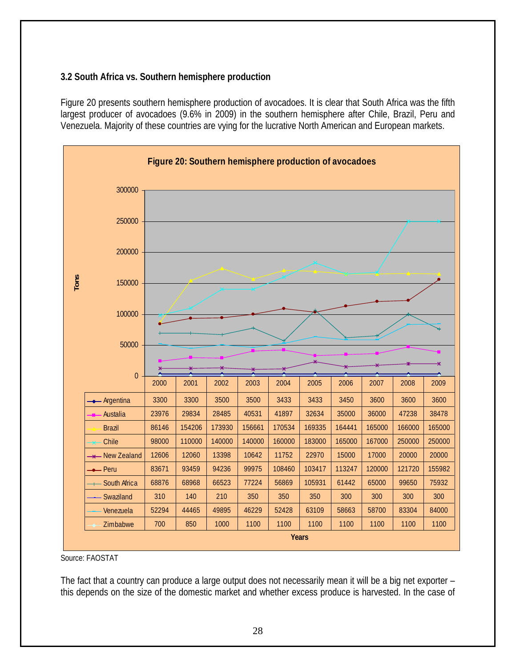# <span id="page-27-0"></span>**3.2 South Africa vs. Southern hemisphere production**

Figure 20 presents southern hemisphere production of avocadoes. It is clear that South Africa was the fifth largest producer of avocadoes (9.6% in 2009) in the southern hemisphere after Chile, Brazil, Peru and Venezuela. Majority of these countries are vying for the lucrative North American and European markets.



Source: FAOSTAT

The fact that a country can produce a large output does not necessarily mean it will be a big net exporter this depends on the size of the domestic market and whether excess produce is harvested. In the case of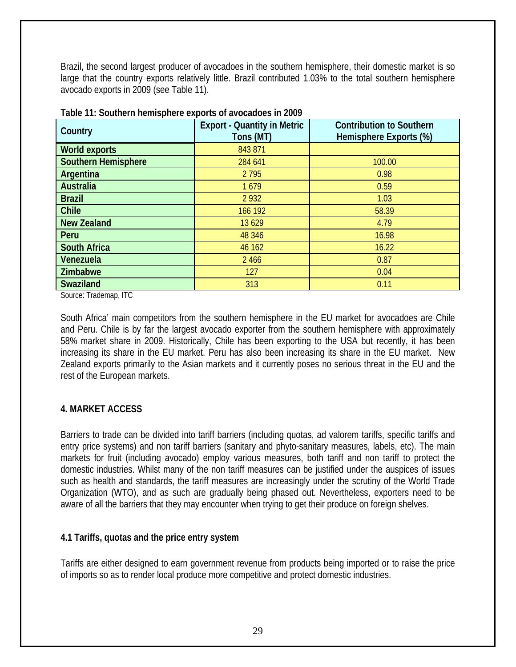<span id="page-28-0"></span>Brazil, the second largest producer of avocadoes in the southern hemisphere, their domestic market is so large that the country exports relatively little. Brazil contributed 1.03% to the total southern hemisphere avocado exports in 2009 (see Table 11).

| Country                    | <b>Export - Quantity in Metric</b><br>Tons (MT) | <b>Contribution to Southern</b><br>Hemisphere Exports (%) |
|----------------------------|-------------------------------------------------|-----------------------------------------------------------|
| <b>World exports</b>       | 843 871                                         |                                                           |
| <b>Southern Hemisphere</b> | 284 641                                         | 100.00                                                    |
| Argentina                  | 2 7 9 5                                         | 0.98                                                      |
| <b>Australia</b>           | 1679                                            | 0.59                                                      |
| <b>Brazil</b>              | 2 9 3 2                                         | 1.03                                                      |
| <b>Chile</b>               | 166 192                                         | 58.39                                                     |
| <b>New Zealand</b>         | 13 6 29                                         | 4.79                                                      |
| Peru                       | 48 346                                          | 16.98                                                     |
| <b>South Africa</b>        | 46 162                                          | 16.22                                                     |
| Venezuela                  | 2 4 6 6                                         | 0.87                                                      |
| <b>Zimbabwe</b>            | 127                                             | 0.04                                                      |
| <b>Swaziland</b>           | 313                                             | 0.11                                                      |

|  |  | Table 11: Southern hemisphere exports of avocadoes in 2009 |  |
|--|--|------------------------------------------------------------|--|

Source: Trademap, ITC

South Africa' main competitors from the southern hemisphere in the EU market for avocadoes are Chile and Peru. Chile is by far the largest avocado exporter from the southern hemisphere with approximately 58% market share in 2009. Historically, Chile has been exporting to the USA but recently, it has been increasing its share in the EU market. Peru has also been increasing its share in the EU market. New Zealand exports primarily to the Asian markets and it currently poses no serious threat in the EU and the rest of the European markets.

## **4. MARKET ACCESS**

Barriers to trade can be divided into tariff barriers (including quotas, ad valorem tariffs, specific tariffs and entry price systems) and non tariff barriers (sanitary and phyto-sanitary measures, labels, etc). The main markets for fruit (including avocado) employ various measures, both tariff and non tariff to protect the domestic industries. Whilst many of the non tariff measures can be justified under the auspices of issues such as health and standards, the tariff measures are increasingly under the scrutiny of the World Trade Organization (WTO), and as such are gradually being phased out. Nevertheless, exporters need to be aware of all the barriers that they may encounter when trying to get their produce on foreign shelves.

## **4.1 Tariffs, quotas and the price entry system**

Tariffs are either designed to earn government revenue from products being imported or to raise the price of imports so as to render local produce more competitive and protect domestic industries.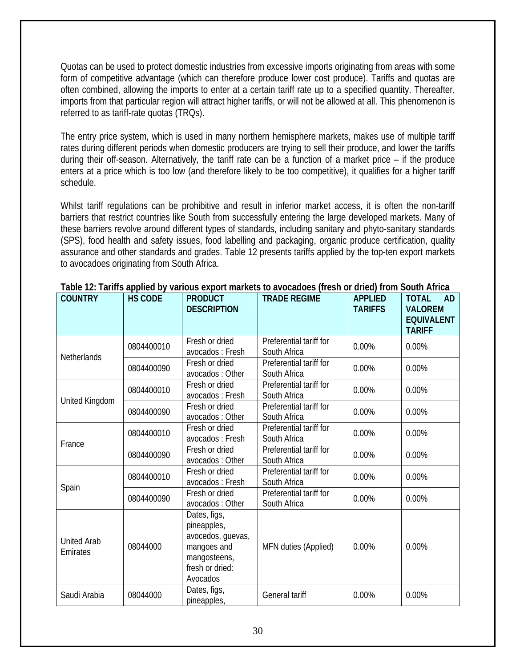Quotas can be used to protect domestic industries from excessive imports originating from areas with some form of competitive advantage (which can therefore produce lower cost produce). Tariffs and quotas are often combined, allowing the imports to enter at a certain tariff rate up to a specified quantity. Thereafter, imports from that particular region will attract higher tariffs, or will not be allowed at all. This phenomenon is referred to as tariff-rate quotas (TRQs).

The entry price system, which is used in many northern hemisphere markets, makes use of multiple tariff rates during different periods when domestic producers are trying to sell their produce, and lower the tariffs during their off-season. Alternatively, the tariff rate can be a function of a market price – if the produce enters at a price which is too low (and therefore likely to be too competitive), it qualifies for a higher tariff schedule.

Whilst tariff regulations can be prohibitive and result in inferior market access, it is often the non-tariff barriers that restrict countries like South from successfully entering the large developed markets. Many of these barriers revolve around different types of standards, including sanitary and phyto-sanitary standards (SPS), food health and safety issues, food labelling and packaging, organic produce certification, quality assurance and other standards and grades. Table 12 presents tariffs applied by the top-ten export markets to avocadoes originating from South Africa.

| <b>COUNTRY</b>                 | <b>HS CODE</b> | <b>PRODUCT</b><br><b>DESCRIPTION</b>                                                                           | <b>TRADE REGIME</b>                     | <b>APPLIED</b><br><b>TARIFFS</b> | <b>TOTAL</b><br><b>AD</b><br><b>VALOREM</b><br><b>EQUIVALENT</b><br><b>TARIFF</b> |
|--------------------------------|----------------|----------------------------------------------------------------------------------------------------------------|-----------------------------------------|----------------------------------|-----------------------------------------------------------------------------------|
| Netherlands                    | 0804400010     | Fresh or dried<br>avocados: Fresh                                                                              | Preferential tariff for<br>South Africa | 0.00%                            | 0.00%                                                                             |
|                                | 0804400090     | Fresh or dried<br>avocados: Other                                                                              | Preferential tariff for<br>South Africa | 0.00%                            | 0.00%                                                                             |
| United Kingdom                 | 0804400010     | Fresh or dried<br>avocados: Fresh                                                                              | Preferential tariff for<br>South Africa | 0.00%                            | 0.00%                                                                             |
|                                | 0804400090     | Fresh or dried<br>avocados: Other                                                                              | Preferential tariff for<br>South Africa | 0.00%                            | 0.00%                                                                             |
| France                         | 0804400010     | Fresh or dried<br>avocados: Fresh                                                                              | Preferential tariff for<br>South Africa | 0.00%                            | 0.00%                                                                             |
|                                | 0804400090     | Fresh or dried<br>avocados: Other                                                                              | Preferential tariff for<br>South Africa | 0.00%                            | 0.00%                                                                             |
|                                | 0804400010     | Fresh or dried<br>avocados: Fresh                                                                              | Preferential tariff for<br>South Africa | 0.00%                            | 0.00%                                                                             |
| Spain                          | 0804400090     | Fresh or dried<br>avocados: Other                                                                              | Preferential tariff for<br>South Africa | 0.00%                            | 0.00%                                                                             |
| <b>United Arab</b><br>Emirates | 08044000       | Dates, figs,<br>pineapples,<br>avocedos, guevas,<br>mangoes and<br>mangosteens,<br>fresh or dried:<br>Avocados | MFN duties (Applied)                    | 0.00%                            | 0.00%                                                                             |
| Saudi Arabia                   | 08044000       | Dates, figs,<br>pineapples,                                                                                    | General tariff                          | 0.00%                            | 0.00%                                                                             |

**Table 12: Tariffs applied by various export markets to avocadoes (fresh or dried) from South Africa**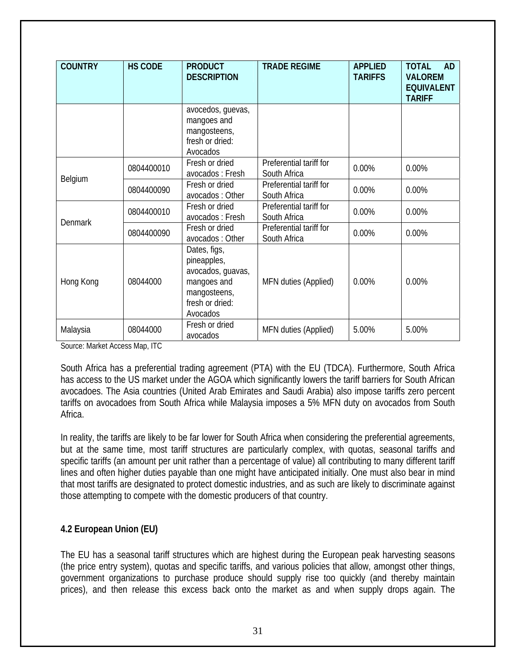<span id="page-30-0"></span>

| <b>COUNTRY</b> | <b>HS CODE</b> | <b>PRODUCT</b><br><b>DESCRIPTION</b>                                                                           | <b>TRADE REGIME</b>                     | <b>APPLIED</b><br><b>TARIFFS</b> | <b>TOTAL</b><br><b>AD</b><br><b>VALOREM</b><br><b>EQUIVALENT</b><br><b>TARIFF</b> |
|----------------|----------------|----------------------------------------------------------------------------------------------------------------|-----------------------------------------|----------------------------------|-----------------------------------------------------------------------------------|
|                |                | avocedos, guevas,<br>mangoes and<br>mangosteens,<br>fresh or dried:<br>Avocados                                |                                         |                                  |                                                                                   |
|                | 0804400010     | Fresh or dried<br>avocados : Fresh                                                                             | Preferential tariff for<br>South Africa | 0.00%                            | 0.00%                                                                             |
| Belgium        | 0804400090     | Fresh or dried<br>avocados: Other                                                                              | Preferential tariff for<br>South Africa | 0.00%                            | 0.00%                                                                             |
|                | 0804400010     | Fresh or dried<br>avocados: Fresh                                                                              | Preferential tariff for<br>South Africa | 0.00%                            | 0.00%                                                                             |
| Denmark        | 0804400090     | Fresh or dried<br>avocados: Other                                                                              | Preferential tariff for<br>South Africa | 0.00%                            | 0.00%                                                                             |
| Hong Kong      | 08044000       | Dates, figs,<br>pineapples,<br>avocados, guavas,<br>mangoes and<br>mangosteens,<br>fresh or dried:<br>Avocados | MFN duties (Applied)                    | 0.00%                            | 0.00%                                                                             |
| Malaysia       | 08044000       | Fresh or dried<br>avocados                                                                                     | MFN duties (Applied)                    | 5.00%                            | 5.00%                                                                             |

Source: Market Access Map, ITC

South Africa has a preferential trading agreement (PTA) with the EU (TDCA). Furthermore, South Africa has access to the US market under the AGOA which significantly lowers the tariff barriers for South African avocadoes. The Asia countries (United Arab Emirates and Saudi Arabia) also impose tariffs zero percent tariffs on avocadoes from South Africa while Malaysia imposes a 5% MFN duty on avocados from South Africa.

In reality, the tariffs are likely to be far lower for South Africa when considering the preferential agreements, but at the same time, most tariff structures are particularly complex, with quotas, seasonal tariffs and specific tariffs (an amount per unit rather than a percentage of value) all contributing to many different tariff lines and often higher duties payable than one might have anticipated initially. One must also bear in mind that most tariffs are designated to protect domestic industries, and as such are likely to discriminate against those attempting to compete with the domestic producers of that country.

#### **4.2 European Union (EU)**

The EU has a seasonal tariff structures which are highest during the European peak harvesting seasons (the price entry system), quotas and specific tariffs, and various policies that allow, amongst other things, government organizations to purchase produce should supply rise too quickly (and thereby maintain prices), and then release this excess back onto the market as and when supply drops again. The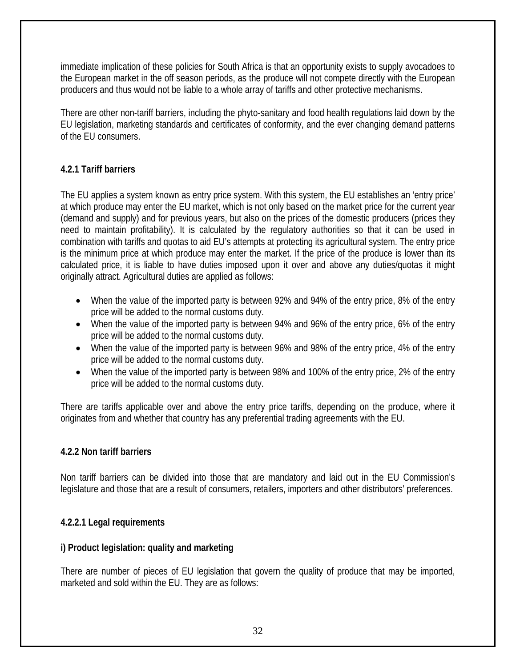<span id="page-31-0"></span>immediate implication of these policies for South Africa is that an opportunity exists to supply avocadoes to the European market in the off season periods, as the produce will not compete directly with the European producers and thus would not be liable to a whole array of tariffs and other protective mechanisms.

There are other non-tariff barriers, including the phyto-sanitary and food health regulations laid down by the EU legislation, marketing standards and certificates of conformity, and the ever changing demand patterns of the EU consumers.

# **4.2.1 Tariff barriers**

The EU applies a system known as entry price system. With this system, the EU establishes an 'entry price' at which produce may enter the EU market, which is not only based on the market price for the current year (demand and supply) and for previous years, but also on the prices of the domestic producers (prices they need to maintain profitability). It is calculated by the regulatory authorities so that it can be used in combination with tariffs and quotas to aid EU's attempts at protecting its agricultural system. The entry price is the minimum price at which produce may enter the market. If the price of the produce is lower than its calculated price, it is liable to have duties imposed upon it over and above any duties/quotas it might originally attract. Agricultural duties are applied as follows:

- When the value of the imported party is between 92% and 94% of the entry price, 8% of the entry price will be added to the normal customs duty.
- When the value of the imported party is between 94% and 96% of the entry price, 6% of the entry price will be added to the normal customs duty.
- When the value of the imported party is between 96% and 98% of the entry price, 4% of the entry price will be added to the normal customs duty.
- When the value of the imported party is between 98% and 100% of the entry price, 2% of the entry price will be added to the normal customs duty.

There are tariffs applicable over and above the entry price tariffs, depending on the produce, where it originates from and whether that country has any preferential trading agreements with the EU.

# **4.2.2 Non tariff barriers**

Non tariff barriers can be divided into those that are mandatory and laid out in the EU Commission's legislature and those that are a result of consumers, retailers, importers and other distributors' preferences.

# **4.2.2.1 Legal requirements**

## **i) Product legislation: quality and marketing**

There are number of pieces of EU legislation that govern the quality of produce that may be imported, marketed and sold within the EU. They are as follows: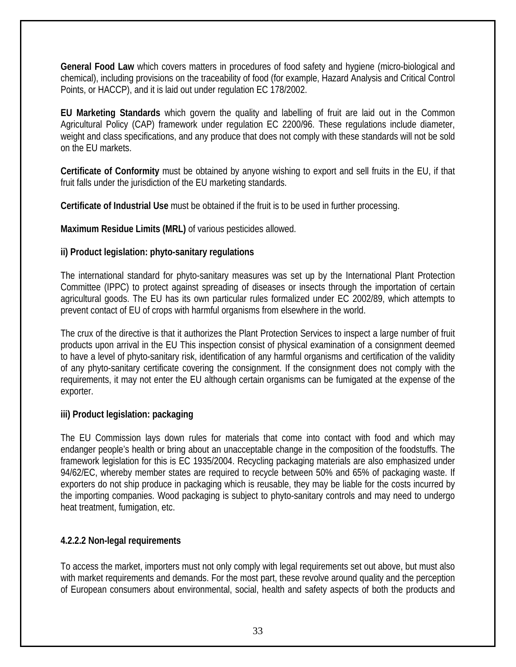<span id="page-32-0"></span>**General Food Law** which covers matters in procedures of food safety and hygiene (micro-biological and chemical), including provisions on the traceability of food (for example, Hazard Analysis and Critical Control Points, or HACCP), and it is laid out under regulation EC 178/2002.

**EU Marketing Standards** which govern the quality and labelling of fruit are laid out in the Common Agricultural Policy (CAP) framework under regulation EC 2200/96. These regulations include diameter, weight and class specifications, and any produce that does not comply with these standards will not be sold on the EU markets.

**Certificate of Conformity** must be obtained by anyone wishing to export and sell fruits in the EU, if that fruit falls under the jurisdiction of the EU marketing standards.

**Certificate of Industrial Use** must be obtained if the fruit is to be used in further processing.

**Maximum Residue Limits (MRL)** of various pesticides allowed.

# **ii) Product legislation: phyto-sanitary regulations**

The international standard for phyto-sanitary measures was set up by the International Plant Protection Committee (IPPC) to protect against spreading of diseases or insects through the importation of certain agricultural goods. The EU has its own particular rules formalized under EC 2002/89, which attempts to prevent contact of EU of crops with harmful organisms from elsewhere in the world.

The crux of the directive is that it authorizes the Plant Protection Services to inspect a large number of fruit products upon arrival in the EU This inspection consist of physical examination of a consignment deemed to have a level of phyto-sanitary risk, identification of any harmful organisms and certification of the validity of any phyto-sanitary certificate covering the consignment. If the consignment does not comply with the requirements, it may not enter the EU although certain organisms can be fumigated at the expense of the exporter.

# **iii) Product legislation: packaging**

The EU Commission lays down rules for materials that come into contact with food and which may endanger people's health or bring about an unacceptable change in the composition of the foodstuffs. The framework legislation for this is EC 1935/2004. Recycling packaging materials are also emphasized under 94/62/EC, whereby member states are required to recycle between 50% and 65% of packaging waste. If exporters do not ship produce in packaging which is reusable, they may be liable for the costs incurred by the importing companies. Wood packaging is subject to phyto-sanitary controls and may need to undergo heat treatment, fumigation, etc.

# **4.2.2.2 Non-legal requirements**

To access the market, importers must not only comply with legal requirements set out above, but must also with market requirements and demands. For the most part, these revolve around quality and the perception of European consumers about environmental, social, health and safety aspects of both the products and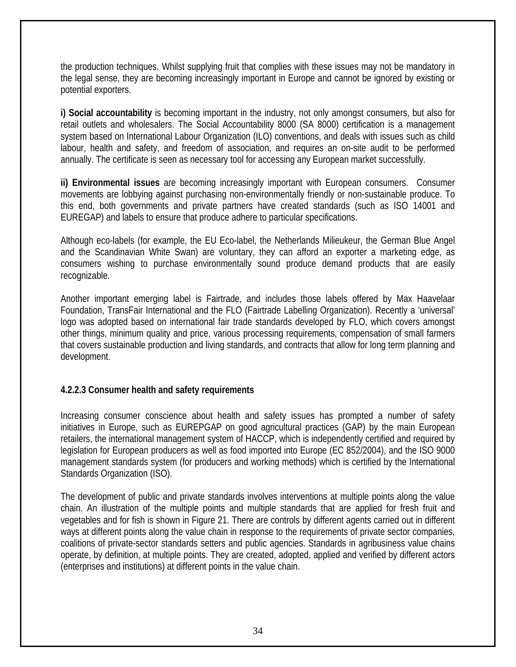<span id="page-33-0"></span>the production techniques. Whilst supplying fruit that complies with these issues may not be mandatory in the legal sense, they are becoming increasingly important in Europe and cannot be ignored by existing or potential exporters.

**i) Social accountability** is becoming important in the industry, not only amongst consumers, but also for retail outlets and wholesalers. The Social Accountability 8000 (SA 8000) certification is a management system based on International Labour Organization (ILO) conventions, and deals with issues such as child labour, health and safety, and freedom of association, and requires an on-site audit to be performed annually. The certificate is seen as necessary tool for accessing any European market successfully.

**ii) Environmental issues** are becoming increasingly important with European consumers. Consumer movements are lobbying against purchasing non-environmentally friendly or non-sustainable produce. To this end, both governments and private partners have created standards (such as ISO 14001 and EUREGAP) and labels to ensure that produce adhere to particular specifications.

Although eco-labels (for example, the EU Eco-label, the Netherlands Milieukeur, the German Blue Angel and the Scandinavian White Swan) are voluntary, they can afford an exporter a marketing edge, as consumers wishing to purchase environmentally sound produce demand products that are easily recognizable.

Another important emerging label is Fairtrade, and includes those labels offered by Max Haavelaar Foundation, TransFair International and the FLO (Fairtrade Labelling Organization). Recently a 'universal' logo was adopted based on international fair trade standards developed by FLO, which covers amongst other things, minimum quality and price, various processing requirements, compensation of small farmers that covers sustainable production and living standards, and contracts that allow for long term planning and development.

## **4.2.2.3 Consumer health and safety requirements**

Increasing consumer conscience about health and safety issues has prompted a number of safety initiatives in Europe, such as EUREPGAP on good agricultural practices (GAP) by the main European retailers, the international management system of HACCP, which is independently certified and required by legislation for European producers as well as food imported into Europe (EC 852/2004), and the ISO 9000 management standards system (for producers and working methods) which is certified by the International Standards Organization (ISO).

The development of public and private standards involves interventions at multiple points along the value chain. An illustration of the multiple points and multiple standards that are applied for fresh fruit and vegetables and for fish is shown in Figure 21. There are controls by different agents carried out in different ways at different points along the value chain in response to the requirements of private sector companies, coalitions of private-sector standards setters and public agencies. Standards in agribusiness value chains operate, by definition, at multiple points. They are created, adopted, applied and verified by different actors (enterprises and institutions) at different points in the value chain.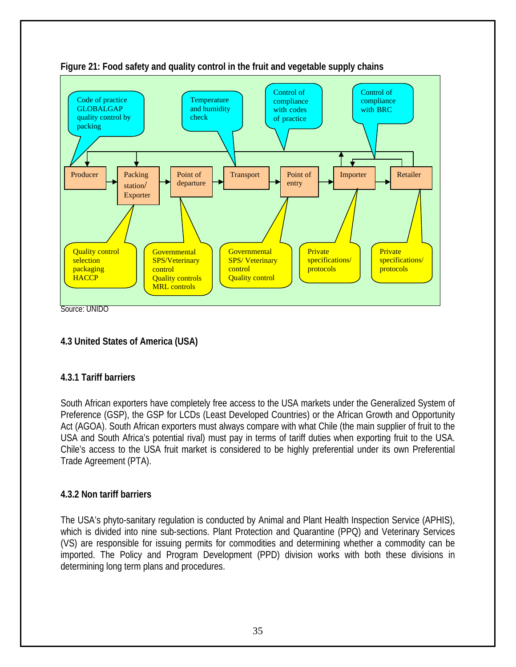

<span id="page-34-0"></span>

Source: UNIDO

# **4.3 United States of America (USA)**

## **4.3.1 Tariff barriers**

South African exporters have completely free access to the USA markets under the Generalized System of Preference (GSP), the GSP for LCDs (Least Developed Countries) or the African Growth and Opportunity Act (AGOA). South African exporters must always compare with what Chile (the main supplier of fruit to the USA and South Africa's potential rival) must pay in terms of tariff duties when exporting fruit to the USA. Chile's access to the USA fruit market is considered to be highly preferential under its own Preferential Trade Agreement (PTA).

## **4.3.2 Non tariff barriers**

The USA's phyto-sanitary regulation is conducted by Animal and Plant Health Inspection Service (APHIS), which is divided into nine sub-sections. Plant Protection and Quarantine (PPQ) and Veterinary Services (VS) are responsible for issuing permits for commodities and determining whether a commodity can be imported. The Policy and Program Development (PPD) division works with both these divisions in determining long term plans and procedures.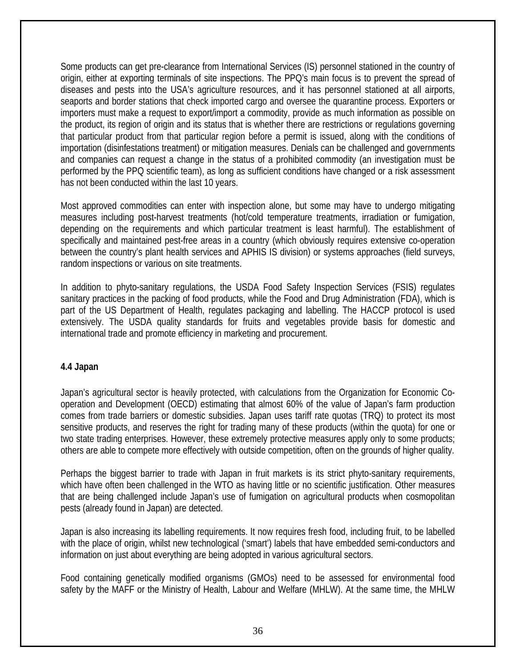<span id="page-35-0"></span>Some products can get pre-clearance from International Services (IS) personnel stationed in the country of origin, either at exporting terminals of site inspections. The PPQ's main focus is to prevent the spread of diseases and pests into the USA's agriculture resources, and it has personnel stationed at all airports, seaports and border stations that check imported cargo and oversee the quarantine process. Exporters or importers must make a request to export/import a commodity, provide as much information as possible on the product, its region of origin and its status that is whether there are restrictions or regulations governing that particular product from that particular region before a permit is issued, along with the conditions of importation (disinfestations treatment) or mitigation measures. Denials can be challenged and governments and companies can request a change in the status of a prohibited commodity (an investigation must be performed by the PPQ scientific team), as long as sufficient conditions have changed or a risk assessment has not been conducted within the last 10 years.

Most approved commodities can enter with inspection alone, but some may have to undergo mitigating measures including post-harvest treatments (hot/cold temperature treatments, irradiation or fumigation, depending on the requirements and which particular treatment is least harmful). The establishment of specifically and maintained pest-free areas in a country (which obviously requires extensive co-operation between the country's plant health services and APHIS IS division) or systems approaches (field surveys, random inspections or various on site treatments.

In addition to phyto-sanitary regulations, the USDA Food Safety Inspection Services (FSIS) regulates sanitary practices in the packing of food products, while the Food and Drug Administration (FDA), which is part of the US Department of Health, regulates packaging and labelling. The HACCP protocol is used extensively. The USDA quality standards for fruits and vegetables provide basis for domestic and international trade and promote efficiency in marketing and procurement.

## **4.4 Japan**

Japan's agricultural sector is heavily protected, with calculations from the Organization for Economic Cooperation and Development (OECD) estimating that almost 60% of the value of Japan's farm production comes from trade barriers or domestic subsidies. Japan uses tariff rate quotas (TRQ) to protect its most sensitive products, and reserves the right for trading many of these products (within the quota) for one or two state trading enterprises. However, these extremely protective measures apply only to some products; others are able to compete more effectively with outside competition, often on the grounds of higher quality.

Perhaps the biggest barrier to trade with Japan in fruit markets is its strict phyto-sanitary requirements, which have often been challenged in the WTO as having little or no scientific justification. Other measures that are being challenged include Japan's use of fumigation on agricultural products when cosmopolitan pests (already found in Japan) are detected.

Japan is also increasing its labelling requirements. It now requires fresh food, including fruit, to be labelled with the place of origin, whilst new technological ('smart') labels that have embedded semi-conductors and information on just about everything are being adopted in various agricultural sectors.

Food containing genetically modified organisms (GMOs) need to be assessed for environmental food safety by the MAFF or the Ministry of Health, Labour and Welfare (MHLW). At the same time, the MHLW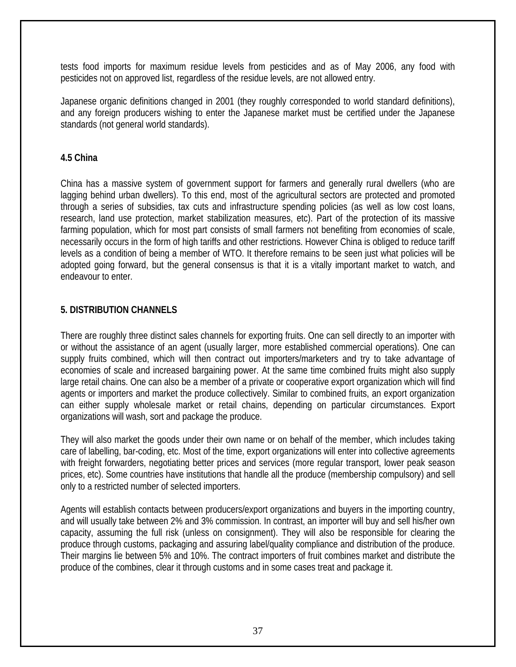<span id="page-36-0"></span>tests food imports for maximum residue levels from pesticides and as of May 2006, any food with pesticides not on approved list, regardless of the residue levels, are not allowed entry.

Japanese organic definitions changed in 2001 (they roughly corresponded to world standard definitions), and any foreign producers wishing to enter the Japanese market must be certified under the Japanese standards (not general world standards).

### **4.5 China**

China has a massive system of government support for farmers and generally rural dwellers (who are lagging behind urban dwellers). To this end, most of the agricultural sectors are protected and promoted through a series of subsidies, tax cuts and infrastructure spending policies (as well as low cost loans, research, land use protection, market stabilization measures, etc). Part of the protection of its massive farming population, which for most part consists of small farmers not benefiting from economies of scale, necessarily occurs in the form of high tariffs and other restrictions. However China is obliged to reduce tariff levels as a condition of being a member of WTO. It therefore remains to be seen just what policies will be adopted going forward, but the general consensus is that it is a vitally important market to watch, and endeavour to enter.

### **5. DISTRIBUTION CHANNELS**

There are roughly three distinct sales channels for exporting fruits. One can sell directly to an importer with or without the assistance of an agent (usually larger, more established commercial operations). One can supply fruits combined, which will then contract out importers/marketers and try to take advantage of economies of scale and increased bargaining power. At the same time combined fruits might also supply large retail chains. One can also be a member of a private or cooperative export organization which will find agents or importers and market the produce collectively. Similar to combined fruits, an export organization can either supply wholesale market or retail chains, depending on particular circumstances. Export organizations will wash, sort and package the produce.

They will also market the goods under their own name or on behalf of the member, which includes taking care of labelling, bar-coding, etc. Most of the time, export organizations will enter into collective agreements with freight forwarders, negotiating better prices and services (more regular transport, lower peak season prices, etc). Some countries have institutions that handle all the produce (membership compulsory) and sell only to a restricted number of selected importers.

Agents will establish contacts between producers/export organizations and buyers in the importing country, and will usually take between 2% and 3% commission. In contrast, an importer will buy and sell his/her own capacity, assuming the full risk (unless on consignment). They will also be responsible for clearing the produce through customs, packaging and assuring label/quality compliance and distribution of the produce. Their margins lie between 5% and 10%. The contract importers of fruit combines market and distribute the produce of the combines, clear it through customs and in some cases treat and package it.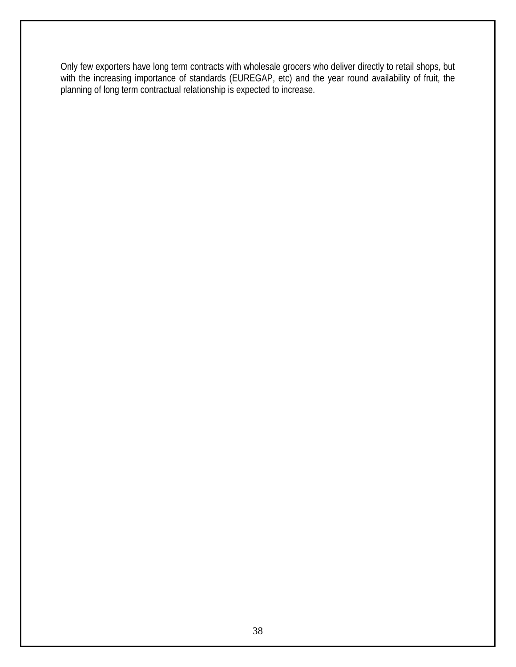Only few exporters have long term contracts with wholesale grocers who deliver directly to retail shops, but with the increasing importance of standards (EUREGAP, etc) and the year round availability of fruit, the planning of long term contractual relationship is expected to increase.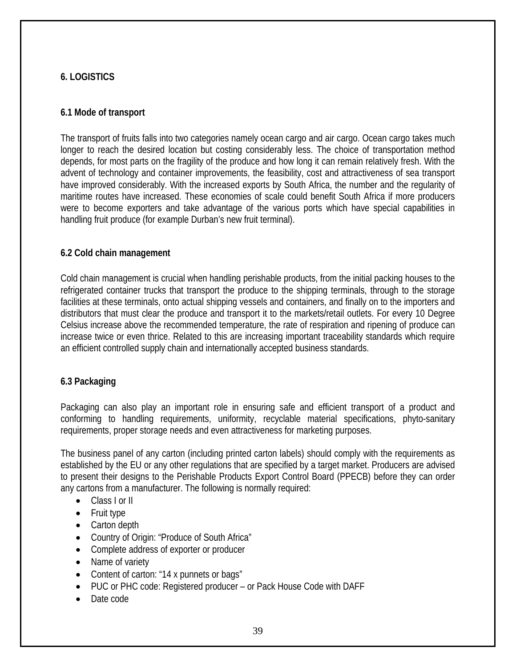# <span id="page-38-0"></span>**6. LOGISTICS**

### **6.1 Mode of transport**

The transport of fruits falls into two categories namely ocean cargo and air cargo. Ocean cargo takes much longer to reach the desired location but costing considerably less. The choice of transportation method depends, for most parts on the fragility of the produce and how long it can remain relatively fresh. With the advent of technology and container improvements, the feasibility, cost and attractiveness of sea transport have improved considerably. With the increased exports by South Africa, the number and the regularity of maritime routes have increased. These economies of scale could benefit South Africa if more producers were to become exporters and take advantage of the various ports which have special capabilities in handling fruit produce (for example Durban's new fruit terminal).

#### **6.2 Cold chain management**

Cold chain management is crucial when handling perishable products, from the initial packing houses to the refrigerated container trucks that transport the produce to the shipping terminals, through to the storage facilities at these terminals, onto actual shipping vessels and containers, and finally on to the importers and distributors that must clear the produce and transport it to the markets/retail outlets. For every 10 Degree Celsius increase above the recommended temperature, the rate of respiration and ripening of produce can increase twice or even thrice. Related to this are increasing important traceability standards which require an efficient controlled supply chain and internationally accepted business standards.

## **6.3 Packaging**

Packaging can also play an important role in ensuring safe and efficient transport of a product and conforming to handling requirements, uniformity, recyclable material specifications, phyto-sanitary requirements, proper storage needs and even attractiveness for marketing purposes.

The business panel of any carton (including printed carton labels) should comply with the requirements as established by the EU or any other regulations that are specified by a target market. Producers are advised to present their designs to the Perishable Products Export Control Board (PPECB) before they can order any cartons from a manufacturer. The following is normally required:

- Class I or II
- Fruit type
- Carton depth
- Country of Origin: "Produce of South Africa"
- Complete address of exporter or producer
- Name of variety
- Content of carton: "14 x punnets or bags"
- PUC or PHC code: Registered producer or Pack House Code with DAFF
- Date code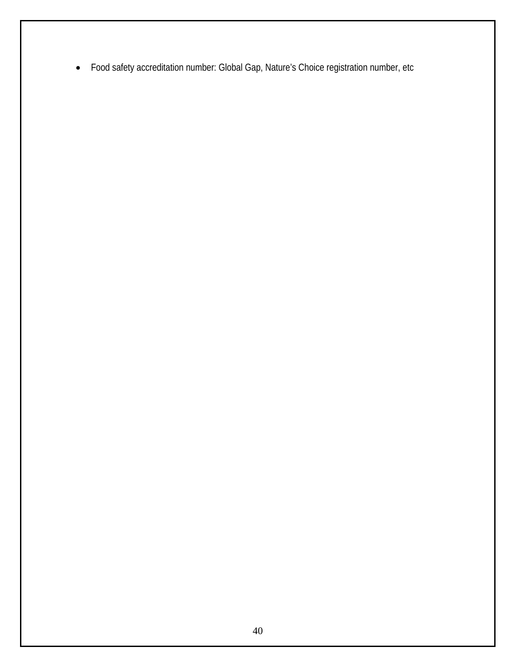• Food safety accreditation number: Global Gap, Nature's Choice registration number, etc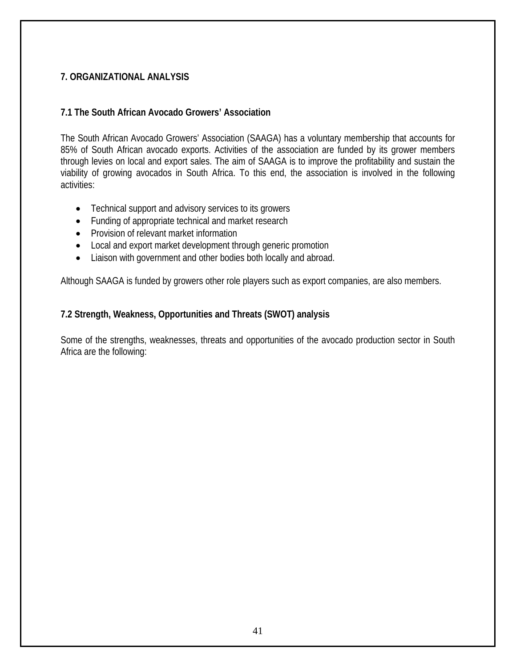## <span id="page-40-0"></span>**7. ORGANIZATIONAL ANALYSIS**

#### **7.1 The South African Avocado Growers' Association**

The South African Avocado Growers' Association (SAAGA) has a voluntary membership that accounts for 85% of South African avocado exports. Activities of the association are funded by its grower members through levies on local and export sales. The aim of SAAGA is to improve the profitability and sustain the viability of growing avocados in South Africa. To this end, the association is involved in the following activities:

- Technical support and advisory services to its growers
- Funding of appropriate technical and market research
- Provision of relevant market information
- Local and export market development through generic promotion
- Liaison with government and other bodies both locally and abroad.

Although SAAGA is funded by growers other role players such as export companies, are also members.

### **7.2 Strength, Weakness, Opportunities and Threats (SWOT) analysis**

Some of the strengths, weaknesses, threats and opportunities of the avocado production sector in South Africa are the following: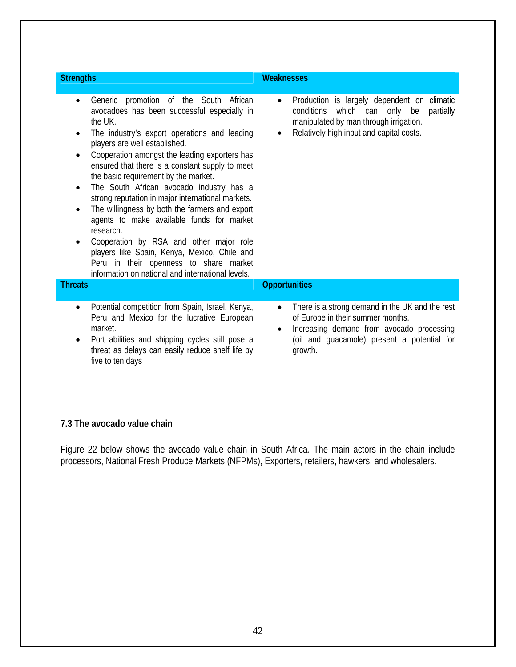<span id="page-41-0"></span>

| <b>Strengths</b>                                                                                                                                                                                                                                                                                                                                                                                                                                                                                                                                                                                                                                                                                                                          | <b>Weaknesses</b>                                                                                                                                                                                                     |
|-------------------------------------------------------------------------------------------------------------------------------------------------------------------------------------------------------------------------------------------------------------------------------------------------------------------------------------------------------------------------------------------------------------------------------------------------------------------------------------------------------------------------------------------------------------------------------------------------------------------------------------------------------------------------------------------------------------------------------------------|-----------------------------------------------------------------------------------------------------------------------------------------------------------------------------------------------------------------------|
| Generic promotion of the South African<br>avocadoes has been successful especially in<br>the UK.<br>The industry's export operations and leading<br>players are well established.<br>Cooperation amongst the leading exporters has<br>ensured that there is a constant supply to meet<br>the basic requirement by the market.<br>The South African avocado industry has a<br>٠<br>strong reputation in major international markets.<br>The willingness by both the farmers and export<br>agents to make available funds for market<br>research.<br>Cooperation by RSA and other major role<br>players like Spain, Kenya, Mexico, Chile and<br>Peru in their openness to share market<br>information on national and international levels. | Production is largely dependent on climatic<br>٠<br>which can only<br>conditions<br>partially<br>be<br>manipulated by man through irrigation.<br>Relatively high input and capital costs.                             |
| <b>Threats</b>                                                                                                                                                                                                                                                                                                                                                                                                                                                                                                                                                                                                                                                                                                                            | <b>Opportunities</b>                                                                                                                                                                                                  |
| Potential competition from Spain, Israel, Kenya,<br>Peru and Mexico for the lucrative European<br>market.<br>Port abilities and shipping cycles still pose a<br>threat as delays can easily reduce shelf life by<br>five to ten days                                                                                                                                                                                                                                                                                                                                                                                                                                                                                                      | There is a strong demand in the UK and the rest<br>$\bullet$<br>of Europe in their summer months.<br>Increasing demand from avocado processing<br>$\bullet$<br>(oil and guacamole) present a potential for<br>growth. |

# **7.3 The avocado value chain**

Figure 22 below shows the avocado value chain in South Africa. The main actors in the chain include processors, National Fresh Produce Markets (NFPMs), Exporters, retailers, hawkers, and wholesalers.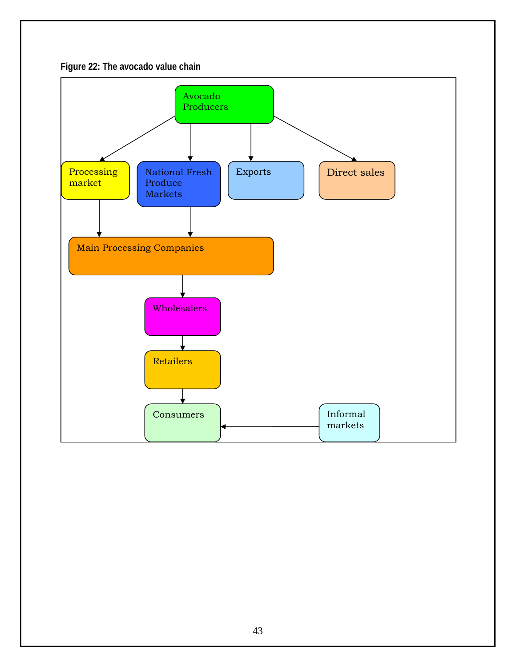

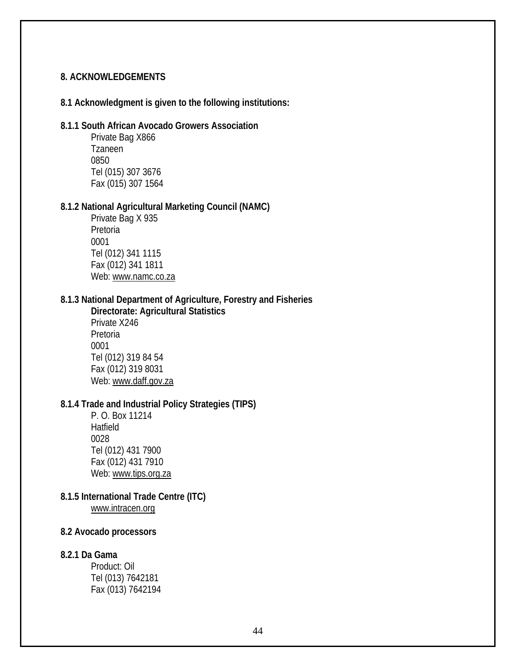#### <span id="page-43-0"></span>**8. ACKNOWLEDGEMENTS**

#### **8.1 Acknowledgment is given to the following institutions:**

#### **8.1.1 South African Avocado Growers Association**

Private Bag X866 Tzaneen 0850 Tel (015) 307 3676 Fax (015) 307 1564

#### **8.1.2 National Agricultural Marketing Council (NAMC)**

Private Bag X 935 Pretoria 0001 Tel (012) 341 1115 Fax (012) 341 1811 Web: [www.namc.co.za](http://www.namc.co.za/)

### **8.1.3 National Department of Agriculture, Forestry and Fisheries**

**Directorate: Agricultural Statistics**  Private X246 Pretoria 0001 Tel (012) 319 84 54 Fax (012) 319 8031 Web: [www.daff.gov.za](http://www.daff.gov.za/)

### **8.1.4 Trade and Industrial Policy Strategies (TIPS)**

P. O. Box 11214 Hatfield 0028 Tel (012) 431 7900 Fax (012) 431 7910 Web: [www.tips.org.za](http://www.tips.org.za/)

#### **8.1.5 International Trade Centre (ITC)**  [www.intracen.org](http://www.intracen.org/)

#### **8.2 Avocado processors**

#### **8.2.1 Da Gama**

Product: Oil Tel (013) 7642181 Fax (013) 7642194